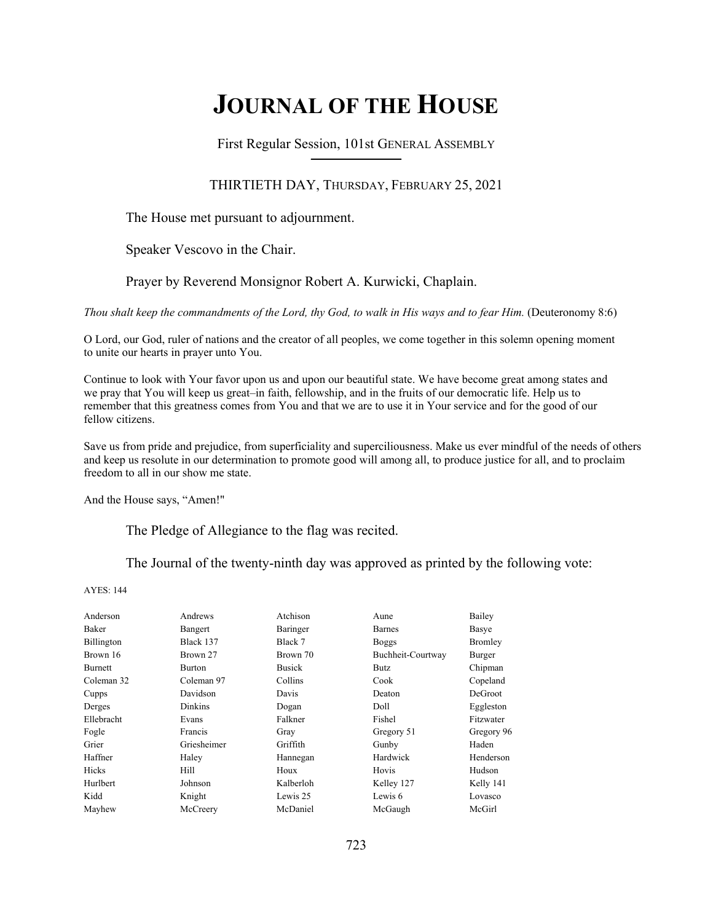# **JOURNAL OF THE HOUSE**

First Regular Session, 101st GENERAL ASSEMBLY **\_\_\_\_\_\_\_\_\_\_\_\_\_\_\_\_\_\_\_\_\_\_\_\_\_\_**

# THIRTIETH DAY, THURSDAY, FEBRUARY 25, 2021

The House met pursuant to adjournment.

Speaker Vescovo in the Chair.

Prayer by Reverend Monsignor Robert A. Kurwicki, Chaplain.

*Thou shalt keep the commandments of the Lord, thy God, to walk in His ways and to fear Him.* (Deuteronomy 8:6)

O Lord, our God, ruler of nations and the creator of all peoples, we come together in this solemn opening moment to unite our hearts in prayer unto You.

Continue to look with Your favor upon us and upon our beautiful state. We have become great among states and we pray that You will keep us great–in faith, fellowship, and in the fruits of our democratic life. Help us to remember that this greatness comes from You and that we are to use it in Your service and for the good of our fellow citizens.

Save us from pride and prejudice, from superficiality and superciliousness. Make us ever mindful of the needs of others and keep us resolute in our determination to promote good will among all, to produce justice for all, and to proclaim freedom to all in our show me state.

And the House says, "Amen!"

The Pledge of Allegiance to the flag was recited.

The Journal of the twenty-ninth day was approved as printed by the following vote:

AYES: 144

| Anderson       | Andrews       | Atchison      | Aune              | Bailey         |
|----------------|---------------|---------------|-------------------|----------------|
| Baker          | Bangert       | Baringer      | <b>Barnes</b>     | Basye          |
| Billington     | Black 137     | Black 7       | <b>Boggs</b>      | <b>Bromley</b> |
| Brown 16       | Brown 27      | Brown 70      | Buchheit-Courtway | Burger         |
| <b>Burnett</b> | <b>Burton</b> | <b>Busick</b> | <b>Butz</b>       | Chipman        |
| Coleman 32     | Coleman 97    | Collins       | Cook              | Copeland       |
| Cupps          | Davidson      | Davis         | Deaton            | DeGroot        |
| Derges         | Dinkins       | Dogan         | Doll              | Eggleston      |
| Ellebracht     | Evans         | Falkner       | Fishel            | Fitzwater      |
| Fogle          | Francis       | Gray          | Gregory 51        | Gregory 96     |
| Grier          | Griesheimer   | Griffith      | Gunby             | Haden          |
| Haffner        | Haley         | Hannegan      | Hardwick          | Henderson      |
| Hicks          | Hill          | Houx          | Hovis             | Hudson         |
| Hurlbert       | Johnson       | Kalberloh     | Kelley 127        | Kelly 141      |
| Kidd           | Knight        | Lewis 25      | Lewis 6           | Lovasco        |
| Mayhew         | McCreery      | McDaniel      | McGaugh           | McGirl         |
|                |               |               |                   |                |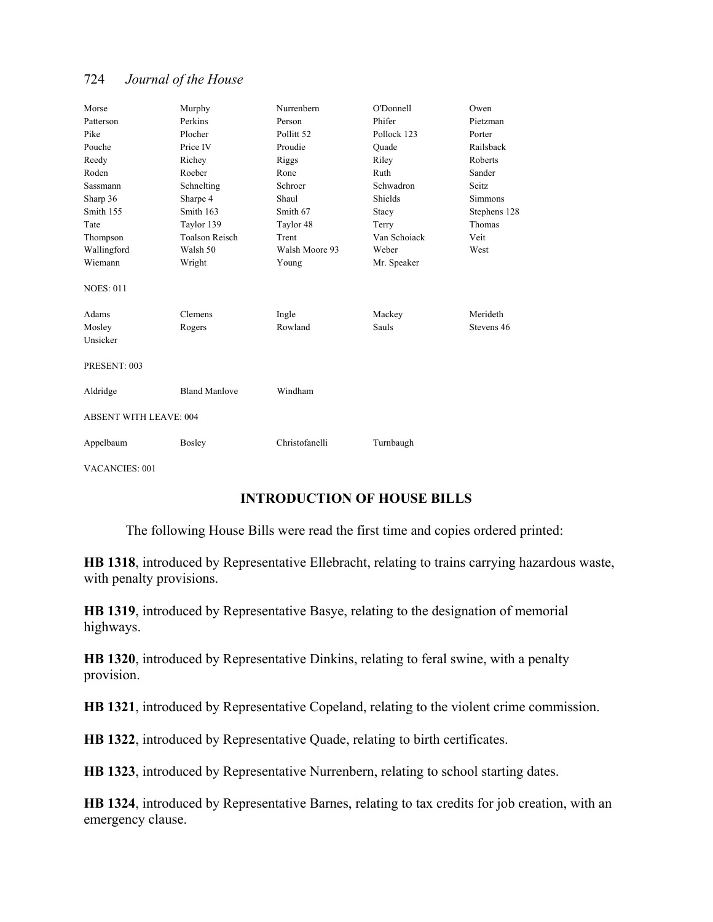| Morse                         | Murphy                | Nurrenbern            | O'Donnell    | Owen           |  |
|-------------------------------|-----------------------|-----------------------|--------------|----------------|--|
| Patterson                     | Perkins               | Person                | Phifer       | Pietzman       |  |
| Pike                          | Plocher               | Pollitt <sub>52</sub> | Pollock 123  | Porter         |  |
| Pouche                        | Price IV              | Proudie               | Quade        | Railsback      |  |
| Reedy                         | Richey                | Riggs                 | Riley        | Roberts        |  |
| Roden                         | Roeber                | Rone                  | Ruth         | Sander         |  |
| <b>Sassmann</b>               | Schnelting            | Schroer               | Schwadron    | Seitz          |  |
| Sharp 36                      | Sharpe 4              | Shaul                 | Shields      | <b>Simmons</b> |  |
| Smith 155                     | Smith 163             | Smith 67              | Stacy        | Stephens 128   |  |
| Tate                          | Taylor 139            | Taylor 48             | Terry        | Thomas         |  |
| Thompson                      | <b>Toalson Reisch</b> | Trent                 | Van Schoiack | Veit           |  |
| Wallingford                   | Walsh 50              | Walsh Moore 93        | Weber        | West           |  |
| Wiemann                       | Wright                | Young                 | Mr. Speaker  |                |  |
| <b>NOES: 011</b>              |                       |                       |              |                |  |
| Adams                         | Clemens               | Ingle                 | Mackey       | Merideth       |  |
| Mosley                        | Rogers                | Rowland               | <b>Sauls</b> | Stevens 46     |  |
| Unsicker                      |                       |                       |              |                |  |
|                               |                       |                       |              |                |  |
| PRESENT: 003                  |                       |                       |              |                |  |
| Aldridge                      | <b>Bland Manlove</b>  | Windham               |              |                |  |
| <b>ABSENT WITH LEAVE: 004</b> |                       |                       |              |                |  |
| Appelbaum                     | Bosley                | Christofanelli        | Turnbaugh    |                |  |

VACANCIES: 001

# **INTRODUCTION OF HOUSE BILLS**

The following House Bills were read the first time and copies ordered printed:

**HB 1318**, introduced by Representative Ellebracht, relating to trains carrying hazardous waste, with penalty provisions.

**HB 1319**, introduced by Representative Basye, relating to the designation of memorial highways.

**HB 1320**, introduced by Representative Dinkins, relating to feral swine, with a penalty provision.

**HB 1321**, introduced by Representative Copeland, relating to the violent crime commission.

**HB 1322**, introduced by Representative Quade, relating to birth certificates.

**HB 1323**, introduced by Representative Nurrenbern, relating to school starting dates.

**HB 1324**, introduced by Representative Barnes, relating to tax credits for job creation, with an emergency clause.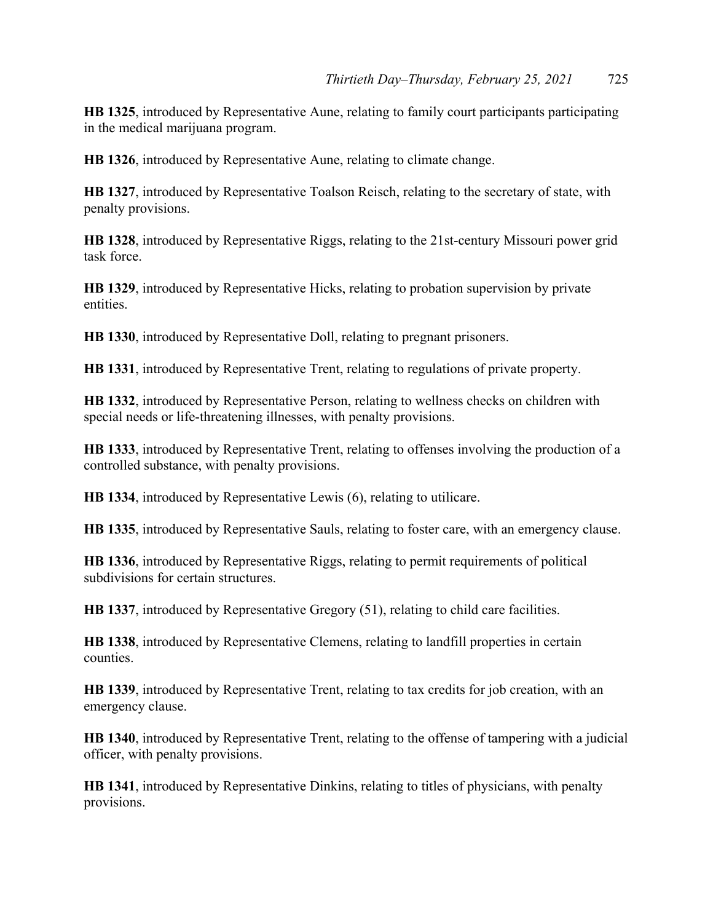**HB 1325**, introduced by Representative Aune, relating to family court participants participating in the medical marijuana program.

**HB 1326**, introduced by Representative Aune, relating to climate change.

**HB 1327**, introduced by Representative Toalson Reisch, relating to the secretary of state, with penalty provisions.

**HB 1328**, introduced by Representative Riggs, relating to the 21st-century Missouri power grid task force.

**HB 1329**, introduced by Representative Hicks, relating to probation supervision by private entities.

**HB 1330**, introduced by Representative Doll, relating to pregnant prisoners.

**HB 1331**, introduced by Representative Trent, relating to regulations of private property.

**HB 1332**, introduced by Representative Person, relating to wellness checks on children with special needs or life-threatening illnesses, with penalty provisions.

**HB 1333**, introduced by Representative Trent, relating to offenses involving the production of a controlled substance, with penalty provisions.

**HB 1334**, introduced by Representative Lewis (6), relating to utilicare.

**HB 1335**, introduced by Representative Sauls, relating to foster care, with an emergency clause.

**HB 1336**, introduced by Representative Riggs, relating to permit requirements of political subdivisions for certain structures.

**HB 1337**, introduced by Representative Gregory (51), relating to child care facilities.

**HB 1338**, introduced by Representative Clemens, relating to landfill properties in certain counties.

**HB 1339**, introduced by Representative Trent, relating to tax credits for job creation, with an emergency clause.

**HB 1340**, introduced by Representative Trent, relating to the offense of tampering with a judicial officer, with penalty provisions.

**HB 1341**, introduced by Representative Dinkins, relating to titles of physicians, with penalty provisions.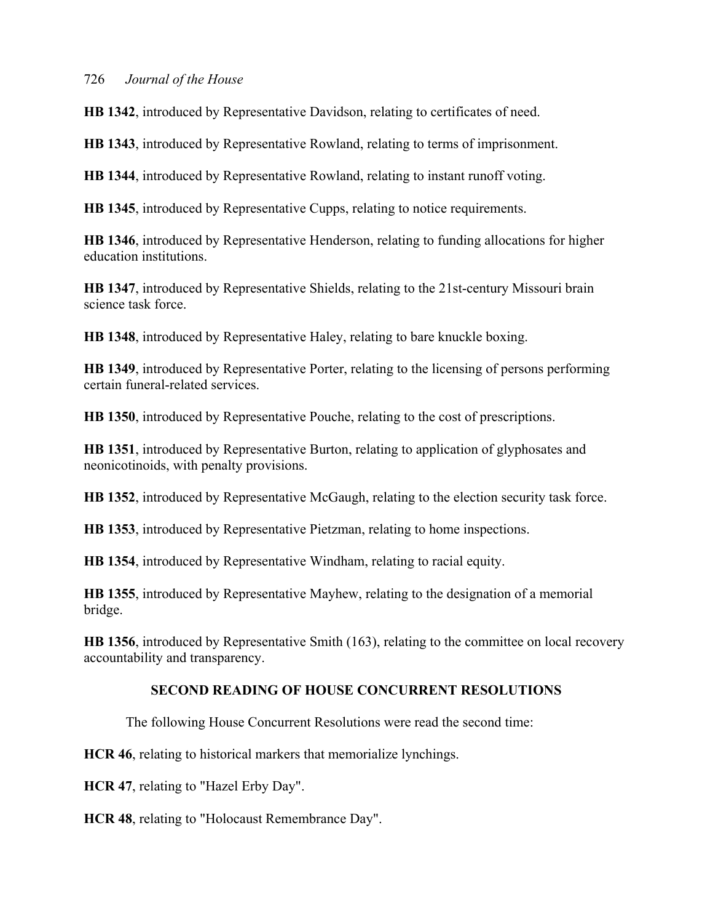**HB 1342**, introduced by Representative Davidson, relating to certificates of need.

**HB 1343**, introduced by Representative Rowland, relating to terms of imprisonment.

**HB 1344**, introduced by Representative Rowland, relating to instant runoff voting.

**HB 1345**, introduced by Representative Cupps, relating to notice requirements.

**HB 1346**, introduced by Representative Henderson, relating to funding allocations for higher education institutions.

**HB 1347**, introduced by Representative Shields, relating to the 21st-century Missouri brain science task force.

**HB 1348**, introduced by Representative Haley, relating to bare knuckle boxing.

**HB 1349**, introduced by Representative Porter, relating to the licensing of persons performing certain funeral-related services.

**HB 1350**, introduced by Representative Pouche, relating to the cost of prescriptions.

**HB 1351**, introduced by Representative Burton, relating to application of glyphosates and neonicotinoids, with penalty provisions.

**HB 1352**, introduced by Representative McGaugh, relating to the election security task force.

**HB 1353**, introduced by Representative Pietzman, relating to home inspections.

**HB 1354**, introduced by Representative Windham, relating to racial equity.

**HB 1355**, introduced by Representative Mayhew, relating to the designation of a memorial bridge.

**HB 1356**, introduced by Representative Smith (163), relating to the committee on local recovery accountability and transparency.

# **SECOND READING OF HOUSE CONCURRENT RESOLUTIONS**

The following House Concurrent Resolutions were read the second time:

**HCR 46**, relating to historical markers that memorialize lynchings.

**HCR 47**, relating to "Hazel Erby Day".

**HCR 48**, relating to "Holocaust Remembrance Day".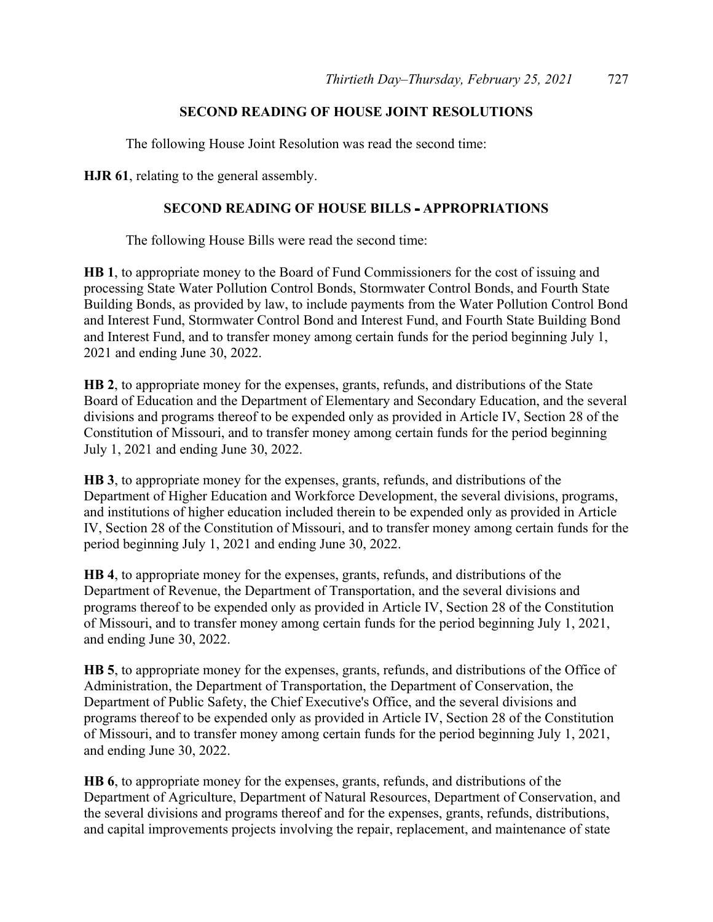# **SECOND READING OF HOUSE JOINT RESOLUTIONS**

The following House Joint Resolution was read the second time:

**HJR 61**, relating to the general assembly.

# **SECOND READING OF HOUSE BILLS - APPROPRIATIONS**

The following House Bills were read the second time:

**HB 1**, to appropriate money to the Board of Fund Commissioners for the cost of issuing and processing State Water Pollution Control Bonds, Stormwater Control Bonds, and Fourth State Building Bonds, as provided by law, to include payments from the Water Pollution Control Bond and Interest Fund, Stormwater Control Bond and Interest Fund, and Fourth State Building Bond and Interest Fund, and to transfer money among certain funds for the period beginning July 1, 2021 and ending June 30, 2022.

**HB 2**, to appropriate money for the expenses, grants, refunds, and distributions of the State Board of Education and the Department of Elementary and Secondary Education, and the several divisions and programs thereof to be expended only as provided in Article IV, Section 28 of the Constitution of Missouri, and to transfer money among certain funds for the period beginning July 1, 2021 and ending June 30, 2022.

**HB 3**, to appropriate money for the expenses, grants, refunds, and distributions of the Department of Higher Education and Workforce Development, the several divisions, programs, and institutions of higher education included therein to be expended only as provided in Article IV, Section 28 of the Constitution of Missouri, and to transfer money among certain funds for the period beginning July 1, 2021 and ending June 30, 2022.

**HB 4**, to appropriate money for the expenses, grants, refunds, and distributions of the Department of Revenue, the Department of Transportation, and the several divisions and programs thereof to be expended only as provided in Article IV, Section 28 of the Constitution of Missouri, and to transfer money among certain funds for the period beginning July 1, 2021, and ending June 30, 2022.

**HB 5**, to appropriate money for the expenses, grants, refunds, and distributions of the Office of Administration, the Department of Transportation, the Department of Conservation, the Department of Public Safety, the Chief Executive's Office, and the several divisions and programs thereof to be expended only as provided in Article IV, Section 28 of the Constitution of Missouri, and to transfer money among certain funds for the period beginning July 1, 2021, and ending June 30, 2022.

**HB 6**, to appropriate money for the expenses, grants, refunds, and distributions of the Department of Agriculture, Department of Natural Resources, Department of Conservation, and the several divisions and programs thereof and for the expenses, grants, refunds, distributions, and capital improvements projects involving the repair, replacement, and maintenance of state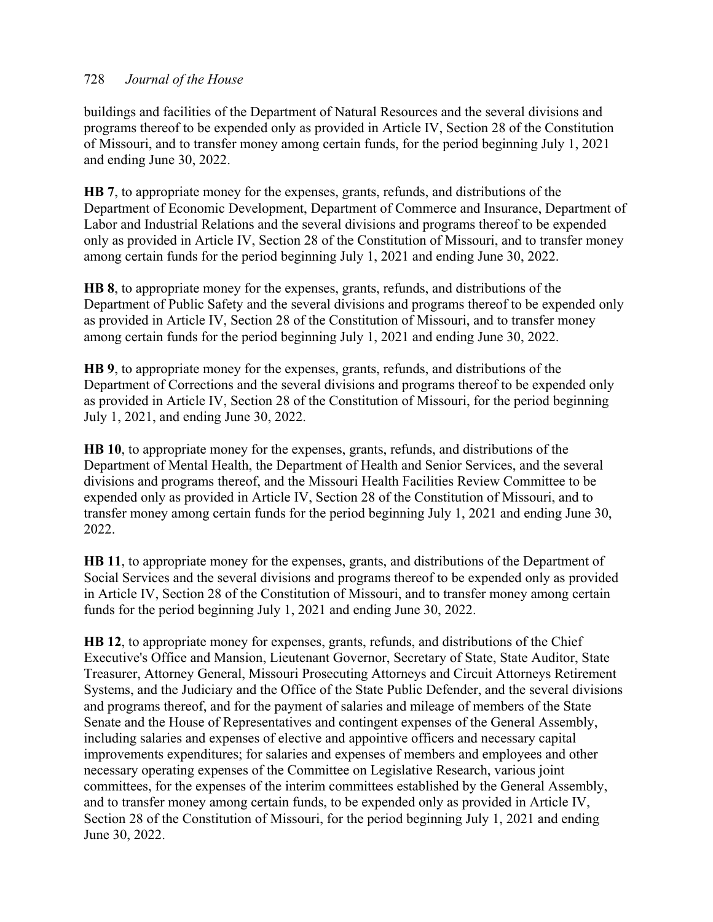buildings and facilities of the Department of Natural Resources and the several divisions and programs thereof to be expended only as provided in Article IV, Section 28 of the Constitution of Missouri, and to transfer money among certain funds, for the period beginning July 1, 2021 and ending June 30, 2022.

**HB 7**, to appropriate money for the expenses, grants, refunds, and distributions of the Department of Economic Development, Department of Commerce and Insurance, Department of Labor and Industrial Relations and the several divisions and programs thereof to be expended only as provided in Article IV, Section 28 of the Constitution of Missouri, and to transfer money among certain funds for the period beginning July 1, 2021 and ending June 30, 2022.

**HB 8**, to appropriate money for the expenses, grants, refunds, and distributions of the Department of Public Safety and the several divisions and programs thereof to be expended only as provided in Article IV, Section 28 of the Constitution of Missouri, and to transfer money among certain funds for the period beginning July 1, 2021 and ending June 30, 2022.

**HB 9**, to appropriate money for the expenses, grants, refunds, and distributions of the Department of Corrections and the several divisions and programs thereof to be expended only as provided in Article IV, Section 28 of the Constitution of Missouri, for the period beginning July 1, 2021, and ending June 30, 2022.

**HB 10**, to appropriate money for the expenses, grants, refunds, and distributions of the Department of Mental Health, the Department of Health and Senior Services, and the several divisions and programs thereof, and the Missouri Health Facilities Review Committee to be expended only as provided in Article IV, Section 28 of the Constitution of Missouri, and to transfer money among certain funds for the period beginning July 1, 2021 and ending June 30, 2022.

**HB 11**, to appropriate money for the expenses, grants, and distributions of the Department of Social Services and the several divisions and programs thereof to be expended only as provided in Article IV, Section 28 of the Constitution of Missouri, and to transfer money among certain funds for the period beginning July 1, 2021 and ending June 30, 2022.

**HB 12**, to appropriate money for expenses, grants, refunds, and distributions of the Chief Executive's Office and Mansion, Lieutenant Governor, Secretary of State, State Auditor, State Treasurer, Attorney General, Missouri Prosecuting Attorneys and Circuit Attorneys Retirement Systems, and the Judiciary and the Office of the State Public Defender, and the several divisions and programs thereof, and for the payment of salaries and mileage of members of the State Senate and the House of Representatives and contingent expenses of the General Assembly, including salaries and expenses of elective and appointive officers and necessary capital improvements expenditures; for salaries and expenses of members and employees and other necessary operating expenses of the Committee on Legislative Research, various joint committees, for the expenses of the interim committees established by the General Assembly, and to transfer money among certain funds, to be expended only as provided in Article IV, Section 28 of the Constitution of Missouri, for the period beginning July 1, 2021 and ending June 30, 2022.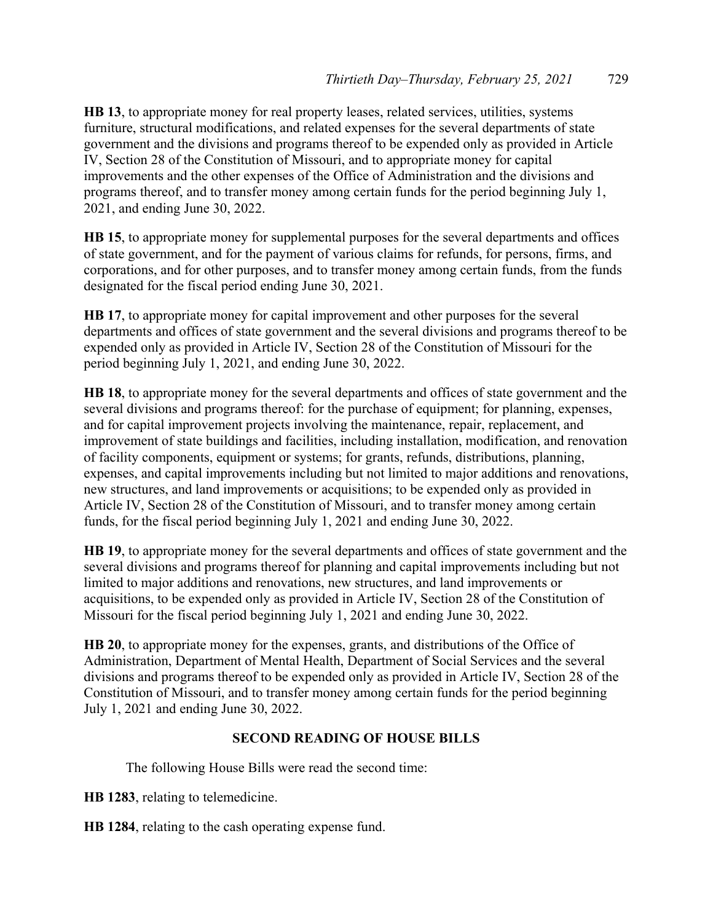**HB 13**, to appropriate money for real property leases, related services, utilities, systems furniture, structural modifications, and related expenses for the several departments of state government and the divisions and programs thereof to be expended only as provided in Article IV, Section 28 of the Constitution of Missouri, and to appropriate money for capital improvements and the other expenses of the Office of Administration and the divisions and programs thereof, and to transfer money among certain funds for the period beginning July 1, 2021, and ending June 30, 2022.

**HB 15**, to appropriate money for supplemental purposes for the several departments and offices of state government, and for the payment of various claims for refunds, for persons, firms, and corporations, and for other purposes, and to transfer money among certain funds, from the funds designated for the fiscal period ending June 30, 2021.

**HB 17**, to appropriate money for capital improvement and other purposes for the several departments and offices of state government and the several divisions and programs thereof to be expended only as provided in Article IV, Section 28 of the Constitution of Missouri for the period beginning July 1, 2021, and ending June 30, 2022.

**HB 18**, to appropriate money for the several departments and offices of state government and the several divisions and programs thereof: for the purchase of equipment; for planning, expenses, and for capital improvement projects involving the maintenance, repair, replacement, and improvement of state buildings and facilities, including installation, modification, and renovation of facility components, equipment or systems; for grants, refunds, distributions, planning, expenses, and capital improvements including but not limited to major additions and renovations, new structures, and land improvements or acquisitions; to be expended only as provided in Article IV, Section 28 of the Constitution of Missouri, and to transfer money among certain funds, for the fiscal period beginning July 1, 2021 and ending June 30, 2022.

**HB 19**, to appropriate money for the several departments and offices of state government and the several divisions and programs thereof for planning and capital improvements including but not limited to major additions and renovations, new structures, and land improvements or acquisitions, to be expended only as provided in Article IV, Section 28 of the Constitution of Missouri for the fiscal period beginning July 1, 2021 and ending June 30, 2022.

**HB 20**, to appropriate money for the expenses, grants, and distributions of the Office of Administration, Department of Mental Health, Department of Social Services and the several divisions and programs thereof to be expended only as provided in Article IV, Section 28 of the Constitution of Missouri, and to transfer money among certain funds for the period beginning July 1, 2021 and ending June 30, 2022.

# **SECOND READING OF HOUSE BILLS**

The following House Bills were read the second time:

**HB 1283**, relating to telemedicine.

**HB 1284**, relating to the cash operating expense fund.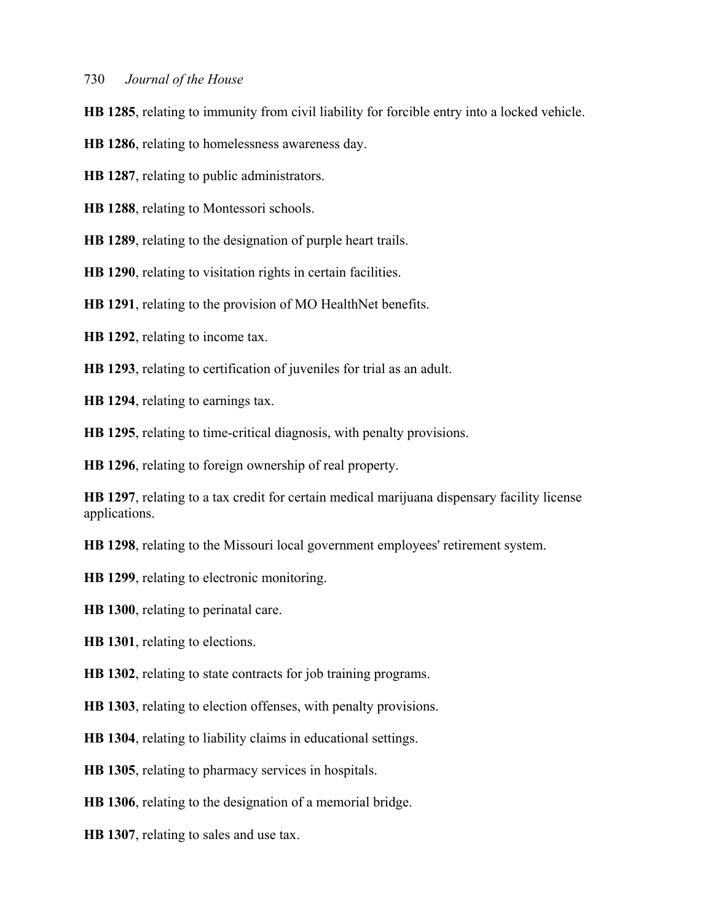**HB 1285**, relating to immunity from civil liability for forcible entry into a locked vehicle.

**HB 1286**, relating to homelessness awareness day.

**HB 1287**, relating to public administrators.

**HB 1288**, relating to Montessori schools.

**HB 1289**, relating to the designation of purple heart trails.

**HB 1290**, relating to visitation rights in certain facilities.

**HB 1291**, relating to the provision of MO HealthNet benefits.

**HB 1292**, relating to income tax.

**HB 1293**, relating to certification of juveniles for trial as an adult.

**HB 1294**, relating to earnings tax.

**HB 1295**, relating to time-critical diagnosis, with penalty provisions.

**HB 1296**, relating to foreign ownership of real property.

**HB 1297**, relating to a tax credit for certain medical marijuana dispensary facility license applications.

**HB 1298**, relating to the Missouri local government employees' retirement system.

**HB 1299**, relating to electronic monitoring.

**HB 1300**, relating to perinatal care.

**HB 1301**, relating to elections.

**HB 1302**, relating to state contracts for job training programs.

**HB 1303**, relating to election offenses, with penalty provisions.

**HB 1304**, relating to liability claims in educational settings.

**HB 1305**, relating to pharmacy services in hospitals.

**HB 1306**, relating to the designation of a memorial bridge.

**HB 1307**, relating to sales and use tax.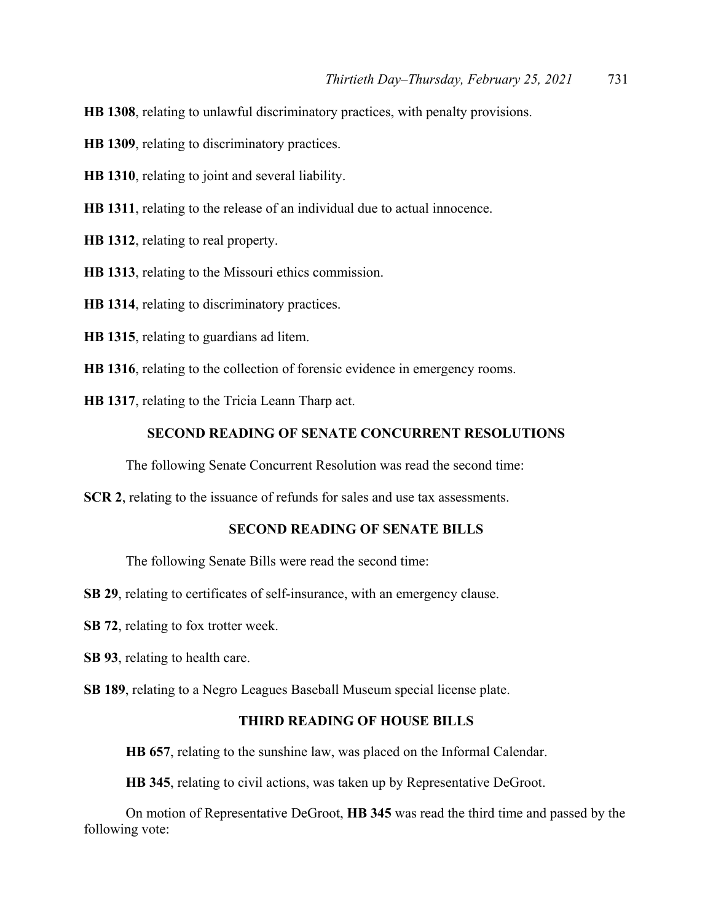**HB 1308**, relating to unlawful discriminatory practices, with penalty provisions.

**HB 1309**, relating to discriminatory practices.

**HB 1310**, relating to joint and several liability.

**HB 1311**, relating to the release of an individual due to actual innocence.

**HB 1312**, relating to real property.

**HB 1313**, relating to the Missouri ethics commission.

**HB 1314**, relating to discriminatory practices.

**HB 1315**, relating to guardians ad litem.

**HB 1316**, relating to the collection of forensic evidence in emergency rooms.

**HB 1317**, relating to the Tricia Leann Tharp act.

#### **SECOND READING OF SENATE CONCURRENT RESOLUTIONS**

The following Senate Concurrent Resolution was read the second time:

**SCR 2**, relating to the issuance of refunds for sales and use tax assessments.

#### **SECOND READING OF SENATE BILLS**

The following Senate Bills were read the second time:

**SB 29**, relating to certificates of self-insurance, with an emergency clause.

**SB 72**, relating to fox trotter week.

**SB 93**, relating to health care.

**SB 189**, relating to a Negro Leagues Baseball Museum special license plate.

#### **THIRD READING OF HOUSE BILLS**

**HB 657**, relating to the sunshine law, was placed on the Informal Calendar.

**HB 345**, relating to civil actions, was taken up by Representative DeGroot.

 On motion of Representative DeGroot, **HB 345** was read the third time and passed by the following vote: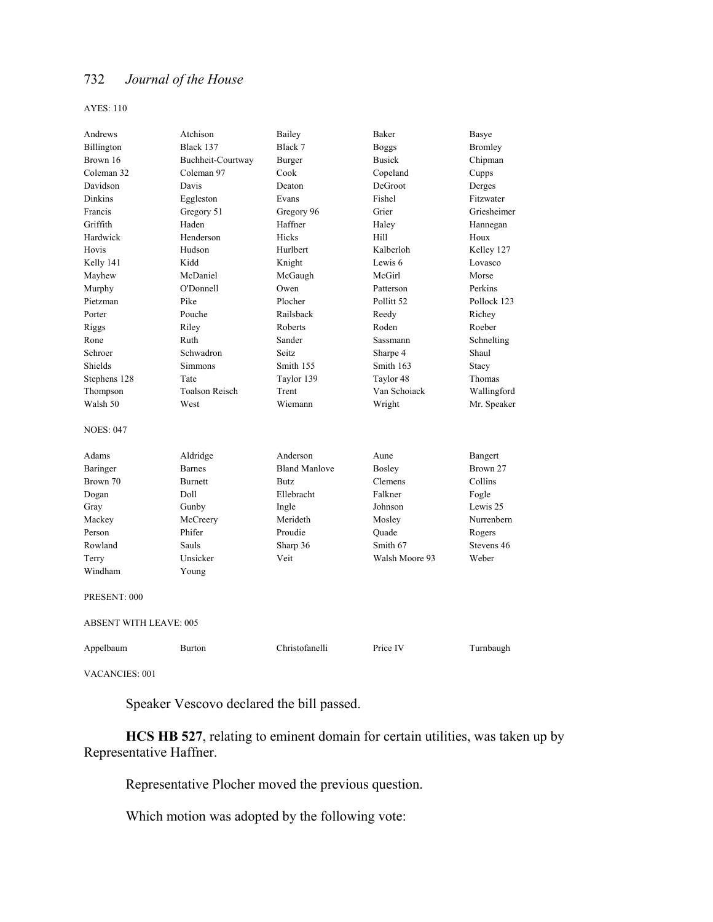AYES: 110

| Andrews                       | Atchison              | Bailey               | Baker                 | Basye          |
|-------------------------------|-----------------------|----------------------|-----------------------|----------------|
| Billington                    | Black 137             | Black 7              | <b>Boggs</b>          | <b>Bromley</b> |
| Brown 16                      | Buchheit-Courtway     | Burger               | <b>Busick</b>         | Chipman        |
| Coleman 32                    | Coleman 97            | Cook                 | Copeland              | Cupps          |
| Davidson                      | Davis                 | Deaton               | DeGroot               | Derges         |
| <b>Dinkins</b>                | Eggleston             | Evans                | Fishel                | Fitzwater      |
| Francis                       | Gregory 51            | Gregory 96           | Grier                 | Griesheimer    |
| Griffith                      | Haden                 | Haffner              | Haley                 | Hannegan       |
| Hardwick                      | Henderson             | <b>Hicks</b>         | Hill                  | Houx           |
| Hovis                         | Hudson                | Hurlbert             | Kalberloh             | Kelley 127     |
| Kelly 141                     | Kidd                  | Knight               | Lewis 6               | Lovasco        |
| Mayhew                        | McDaniel              | McGaugh              | McGirl                | Morse          |
| Murphy                        | O'Donnell             | Owen                 | Patterson             | Perkins        |
| Pietzman                      | Pike                  | Plocher              | Pollitt <sub>52</sub> | Pollock 123    |
| Porter                        | Pouche                | Railsback            | Reedy                 | Richey         |
| Riggs                         | Riley                 | Roberts              | Roden                 | Roeber         |
| Rone                          | Ruth                  | Sander               | Sassmann              | Schnelting     |
| Schroer                       | Schwadron             | Seitz                | Sharpe 4              | Shaul          |
| Shields                       | <b>Simmons</b>        | Smith 155            | Smith 163             | Stacy          |
| Stephens 128                  | Tate                  | Taylor 139           | Taylor 48             | Thomas         |
| Thompson                      | <b>Toalson Reisch</b> | Trent                | Van Schoiack          | Wallingford    |
| Walsh 50                      | West                  | Wiemann              | Wright                | Mr. Speaker    |
| <b>NOES: 047</b>              |                       |                      |                       |                |
|                               |                       |                      |                       |                |
| Adams                         | Aldridge              | Anderson             | Aune                  | Bangert        |
| Baringer                      | <b>Barnes</b>         | <b>Bland Manlove</b> | <b>Bosley</b>         | Brown 27       |
| Brown 70                      | <b>Burnett</b>        | <b>Butz</b>          | Clemens               | Collins        |
| Dogan                         | Doll                  | Ellebracht           | Falkner               | Fogle          |
| Gray                          | Gunby                 | Ingle                | Johnson               | Lewis 25       |
| Mackey                        | McCreery              | Merideth             | Mosley                | Nurrenbern     |
| Person                        | Phifer                | Proudie              | Quade                 | Rogers         |
| Rowland                       | Sauls                 | Sharp 36             | Smith 67              | Stevens 46     |
| Terry                         | Unsicker              | Veit                 | Walsh Moore 93        | Weber          |
| Windham                       | Young                 |                      |                       |                |
| PRESENT: 000                  |                       |                      |                       |                |
| <b>ABSENT WITH LEAVE: 005</b> |                       |                      |                       |                |
| Appelbaum                     | <b>Burton</b>         | Christofanelli       | Price IV              | Turnbaugh      |
| <b>VACANCIES: 001</b>         |                       |                      |                       |                |

Speaker Vescovo declared the bill passed.

**HCS HB 527**, relating to eminent domain for certain utilities, was taken up by Representative Haffner.

Representative Plocher moved the previous question.

Which motion was adopted by the following vote: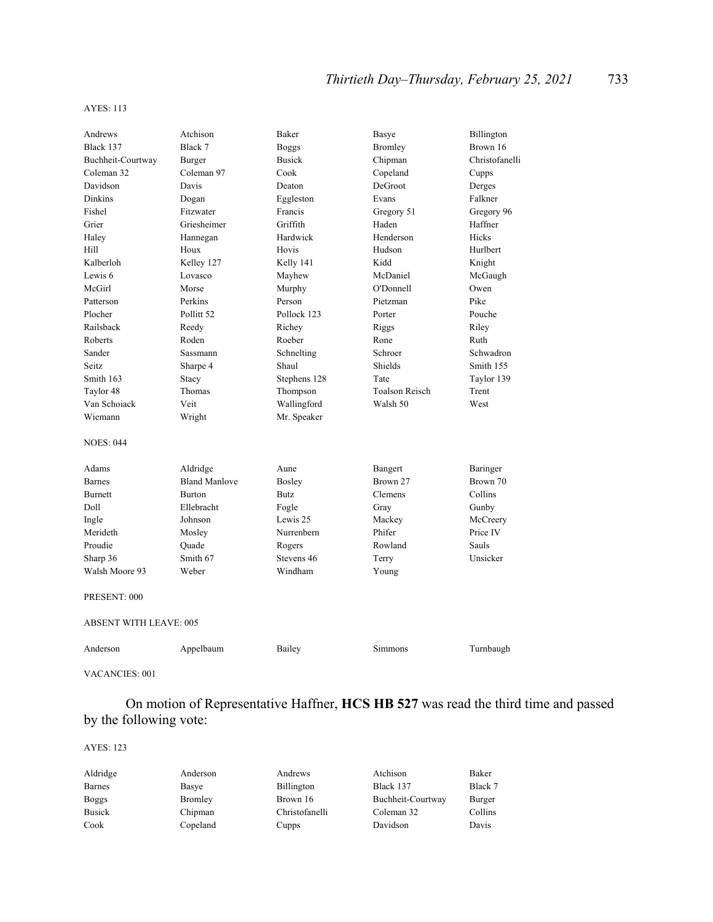#### AYES: 113

| Andrews                       | Atchison              | Baker         | Basye                 | Billington     |  |
|-------------------------------|-----------------------|---------------|-----------------------|----------------|--|
| Black 137                     | Black 7               | <b>Boggs</b>  | Bromley               | Brown 16       |  |
| Buchheit-Courtway             | Burger                | <b>Busick</b> | Chipman               | Christofanelli |  |
| Coleman 32                    | Coleman 97            | Cook          | Copeland              | Cupps          |  |
| Davidson                      | Davis                 | Deaton        | DeGroot               | Derges         |  |
| <b>Dinkins</b>                | Dogan                 | Eggleston     | Evans                 | Falkner        |  |
| Fishel                        | Fitzwater             | Francis       | Gregory 51            | Gregory 96     |  |
| Grier                         | Griesheimer           | Griffith      | Haden                 | Haffner        |  |
| Haley                         | Hannegan              | Hardwick      | Henderson             | Hicks          |  |
| Hill                          | Houx                  | Hovis         | Hudson                | Hurlbert       |  |
| Kalberloh                     | Kelley 127            | Kelly 141     | Kidd                  | Knight         |  |
| Lewis 6                       | Lovasco               | Mayhew        | McDaniel              | McGaugh        |  |
| McGirl                        | Morse                 | Murphy        | O'Donnell             | Owen           |  |
| Patterson                     | Perkins               | Person        | Pietzman              | Pike           |  |
| Plocher                       | Pollitt <sub>52</sub> | Pollock 123   | Porter                | Pouche         |  |
| Railsback                     | Reedy                 | Richey        | Riggs                 | Riley          |  |
| Roberts                       | Roden                 | Roeber        | Rone                  | Ruth           |  |
| Sander                        | <b>Sassmann</b>       | Schnelting    | Schroer               | Schwadron      |  |
| <b>Seitz</b>                  | Sharpe 4              | Shaul         | Shields               | Smith 155      |  |
| Smith 163                     | Stacy                 | Stephens 128  | Tate                  | Taylor 139     |  |
| Taylor 48                     | Thomas                | Thompson      | <b>Toalson Reisch</b> | Trent          |  |
| Van Schoiack                  | Veit                  | Wallingford   | Walsh 50              | West           |  |
| Wiemann                       | Wright                | Mr. Speaker   |                       |                |  |
| <b>NOES: 044</b>              |                       |               |                       |                |  |
| Adams                         | Aldridge              | Aune          | Bangert               | Baringer       |  |
| <b>Barnes</b>                 | <b>Bland Manlove</b>  | Bosley        | Brown 27              | Brown 70       |  |
| <b>Burnett</b>                | <b>Burton</b>         | <b>Butz</b>   | Clemens               | Collins        |  |
| Doll                          | Ellebracht            | Fogle         | Gray                  | Gunby          |  |
| Ingle                         | Johnson               | Lewis 25      | Mackey                | McCreery       |  |
| Merideth                      | Mosley                | Nurrenbern    | Phifer                | Price IV       |  |
| Proudie                       | Ouade                 | Rogers        | Rowland               | Sauls          |  |
| Sharp 36                      | Smith 67              | Stevens 46    | Terry                 | Unsicker       |  |
| Walsh Moore 93                | Weber                 | Windham       | Young                 |                |  |
| PRESENT: 000                  |                       |               |                       |                |  |
| <b>ABSENT WITH LEAVE: 005</b> |                       |               |                       |                |  |
| Anderson                      | Appelbaum             | Bailey        | <b>Simmons</b>        | Turnbaugh      |  |

VACANCIES: 001

 On motion of Representative Haffner, **HCS HB 527** was read the third time and passed by the following vote:

#### AYES: 123

| Aldridge      | Anderson | Andrews           | Atchison          | Baker   |
|---------------|----------|-------------------|-------------------|---------|
| <b>Barnes</b> | Basye    | <b>Billington</b> | Black 137         | Black 7 |
| <b>Boggs</b>  | Bromley  | Brown 16          | Buchheit-Courtway | Burger  |
| <b>Busick</b> | Chipman  | Christofanelli    | Coleman 32        | Collins |
| Cook          | Copeland | Cupps             | Davidson          | Davis   |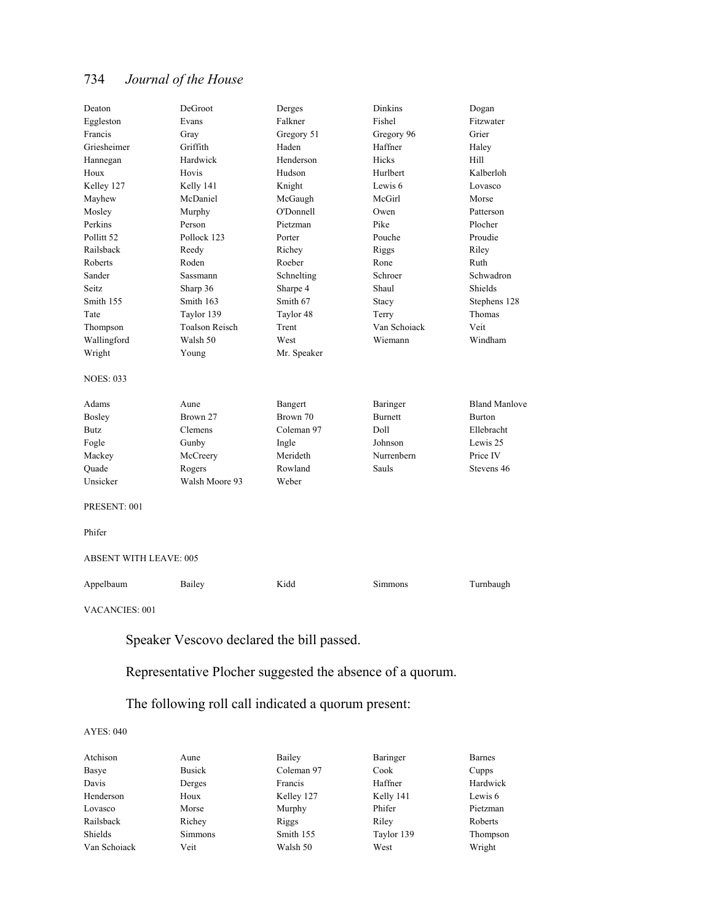| Deaton                        | DeGroot               | Derges      | Dinkins      | Dogan                |
|-------------------------------|-----------------------|-------------|--------------|----------------------|
| Eggleston                     | Evans                 | Falkner     | Fishel       | Fitzwater            |
| Francis                       | Gray                  | Gregory 51  | Gregory 96   | Grier                |
| Griesheimer                   | Griffith              | Haden       | Haffner      | Haley                |
| Hannegan                      | Hardwick              | Henderson   | Hicks        | Hill                 |
| Houx                          | Hovis                 | Hudson      | Hurlbert     | Kalberloh            |
| Kelley 127                    | Kelly 141             | Knight      | Lewis 6      | Lovasco              |
| Mayhew                        | McDaniel              | McGaugh     | McGirl       | Morse                |
| Mosley                        | Murphy                | O'Donnell   | Owen         | Patterson            |
| Perkins                       | Person                | Pietzman    | Pike         | Plocher              |
| Pollitt 52                    | Pollock 123           | Porter      | Pouche       | Proudie              |
| Railsback                     | Reedy                 | Richey      | Riggs        | Riley                |
| Roberts                       | Roden                 | Roeber      | Rone         | Ruth                 |
| Sander                        | <b>Sassmann</b>       | Schnelting  | Schroer      | Schwadron            |
| Seitz                         | Sharp 36              | Sharpe 4    | Shaul        | Shields              |
| Smith 155                     | Smith 163             | Smith 67    | Stacy        | Stephens 128         |
| Tate                          | Taylor 139            | Taylor 48   | Terry        | Thomas               |
| Thompson                      | <b>Toalson Reisch</b> | Trent       | Van Schoiack | Veit                 |
| Wallingford                   | Walsh 50              | West        | Wiemann      | Windham              |
| Wright                        | Young                 | Mr. Speaker |              |                      |
| <b>NOES: 033</b>              |                       |             |              |                      |
| Adams                         | Aune                  | Bangert     | Baringer     | <b>Bland Manlove</b> |
| <b>Bosley</b>                 | Brown 27              | Brown 70    | Burnett      | Burton               |
| Butz                          | Clemens               | Coleman 97  | Doll         | Ellebracht           |
| Fogle                         | Gunby                 | Ingle       | Johnson      | Lewis 25             |
| Mackey                        | McCreery              | Merideth    | Nurrenbern   | Price IV             |
| Quade                         | Rogers                | Rowland     | <b>Sauls</b> | Stevens 46           |
| Unsicker                      | Walsh Moore 93        | Weber       |              |                      |
| PRESENT: 001                  |                       |             |              |                      |
| Phifer                        |                       |             |              |                      |
| <b>ABSENT WITH LEAVE: 005</b> |                       |             |              |                      |
| Appelbaum                     | Bailey                | Kidd        | Simmons      | Turnbaugh            |
| VACANCIES: 001                |                       |             |              |                      |
|                               |                       |             |              |                      |

Speaker Vescovo declared the bill passed.

Representative Plocher suggested the absence of a quorum.

# The following roll call indicated a quorum present:

#### AYES: 040

| Atchison     | Aune           | Bailey     | Baringer   | <b>Barnes</b> |
|--------------|----------------|------------|------------|---------------|
| Basye        | <b>Busick</b>  | Coleman 97 | Cook       | Cupps         |
| Davis        | Derges         | Francis    | Haffner    | Hardwick      |
| Henderson    | Houx           | Kelley 127 | Kelly 141  | Lewis 6       |
| Lovasco      | Morse          | Murphy     | Phifer     | Pietzman      |
| Railsback    | Richey         | Riggs      | Riley      | Roberts       |
| Shields      | <b>Simmons</b> | Smith 155  | Taylor 139 | Thompson      |
| Van Schoiack | Veit           | Walsh 50   | West       | Wright        |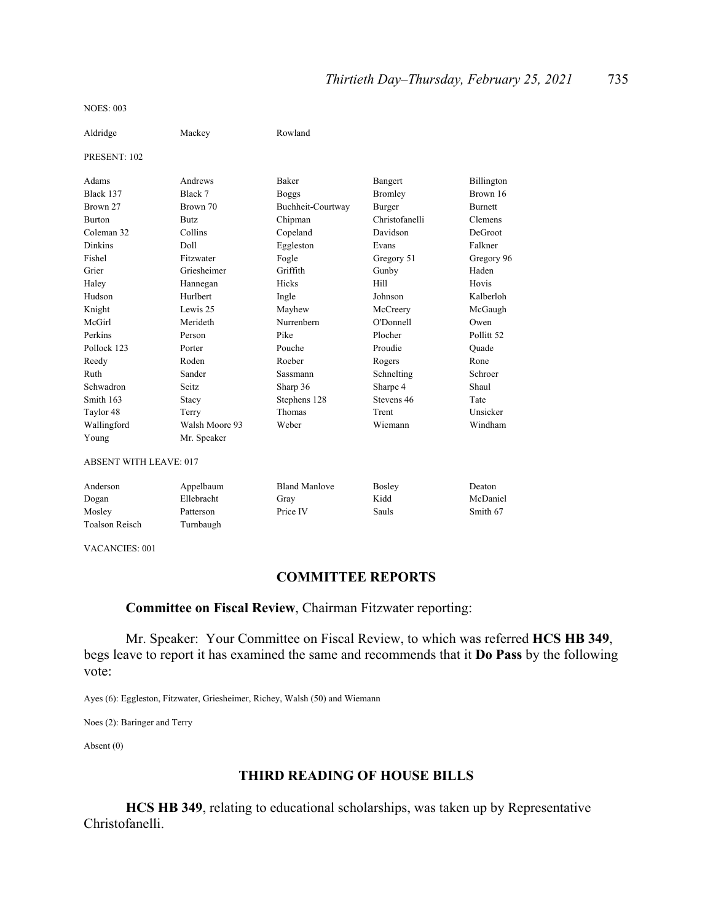NOES: 003

| Aldridge                      | Mackey         | Rowland              |                |                       |
|-------------------------------|----------------|----------------------|----------------|-----------------------|
| PRESENT: 102                  |                |                      |                |                       |
| Adams                         | Andrews        | Baker                | Bangert        | Billington            |
| Black 137                     | Black 7        | <b>Boggs</b>         | <b>Bromley</b> | Brown 16              |
| Brown 27                      | Brown 70       | Buchheit-Courtway    | Burger         | <b>Burnett</b>        |
| <b>Burton</b>                 | Butz           | Chipman              | Christofanelli | Clemens               |
| Coleman 32                    | Collins        | Copeland             | Davidson       | DeGroot               |
| <b>Dinkins</b>                | Doll           | Eggleston            | Evans          | Falkner               |
| Fishel                        | Fitzwater      | Fogle                | Gregory 51     | Gregory 96            |
| Grier                         | Griesheimer    | Griffith             | Gunby          | Haden                 |
| Haley                         | Hannegan       | Hicks                | Hill           | Hovis                 |
| Hudson                        | Hurlbert       | Ingle                | Johnson        | Kalberloh             |
| Knight                        | Lewis 25       | Mayhew               | McCreery       | McGaugh               |
| McGirl                        | Merideth       | Nurrenbern           | O'Donnell      | Owen                  |
| Perkins                       | Person         | Pike                 | Plocher        | Pollitt <sub>52</sub> |
| Pollock 123                   | Porter         | Pouche               | Proudie        | Quade                 |
| Reedy                         | Roden          | Roeber               | Rogers         | Rone                  |
| Ruth                          | Sander         | <b>Sassmann</b>      | Schnelting     | Schroer               |
| Schwadron                     | <b>Seitz</b>   | Sharp 36             | Sharpe 4       | Shaul                 |
| Smith 163                     | Stacy          | Stephens 128         | Stevens 46     | Tate                  |
| Taylor 48                     | Terry          | Thomas               | Trent          | Unsicker              |
| Wallingford                   | Walsh Moore 93 | Weber                | Wiemann        | Windham               |
| Young                         | Mr. Speaker    |                      |                |                       |
| <b>ABSENT WITH LEAVE: 017</b> |                |                      |                |                       |
| Anderson                      | Appelbaum      | <b>Bland Manlove</b> | Bosley         | Deaton                |
| Dogan                         | Ellebracht     | Gray                 | Kidd           | McDaniel              |
| Mosley                        | Patterson      | Price IV             | Sauls          | Smith 67              |
| <b>Toalson Reisch</b>         | Turnbaugh      |                      |                |                       |

VACANCIES: 001

# **COMMITTEE REPORTS**

### **Committee on Fiscal Review**, Chairman Fitzwater reporting:

 Mr. Speaker: Your Committee on Fiscal Review, to which was referred **HCS HB 349**, begs leave to report it has examined the same and recommends that it **Do Pass** by the following vote:

Ayes (6): Eggleston, Fitzwater, Griesheimer, Richey, Walsh (50) and Wiemann

Noes (2): Baringer and Terry

Absent (0)

#### **THIRD READING OF HOUSE BILLS**

**HCS HB 349**, relating to educational scholarships, was taken up by Representative Christofanelli.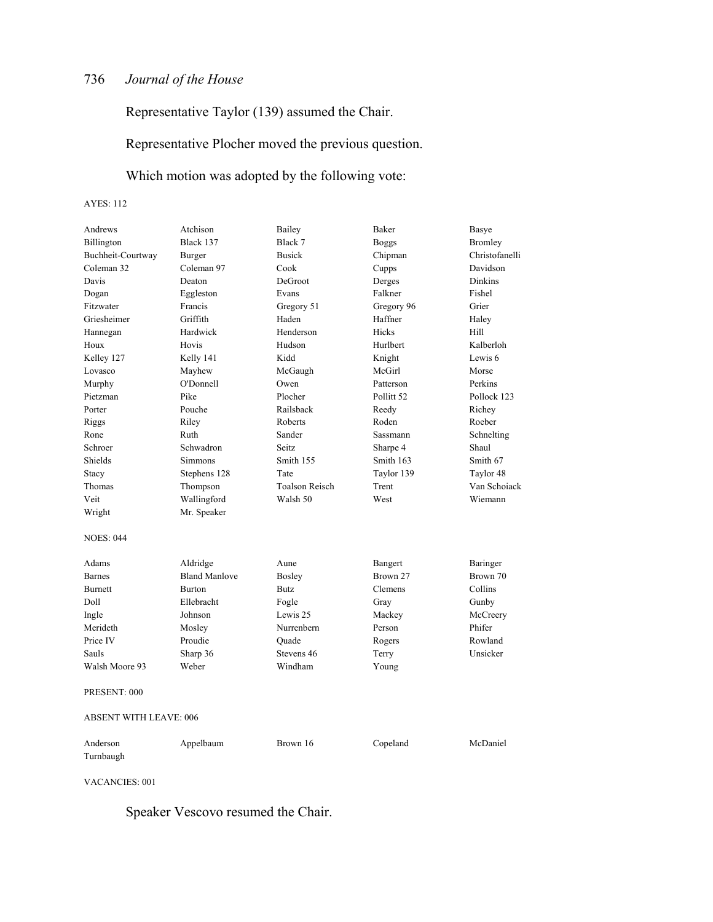Representative Taylor (139) assumed the Chair.

Representative Plocher moved the previous question.

Which motion was adopted by the following vote:

AYES: 112

| Andrews                       | Atchison             | Bailey                | Baker                 | Basye          |
|-------------------------------|----------------------|-----------------------|-----------------------|----------------|
| Billington                    | Black 137            | Black 7               | <b>Boggs</b>          | <b>Bromley</b> |
| Buchheit-Courtway             | Burger               | <b>Busick</b>         | Chipman               | Christofanelli |
| Coleman 32                    | Coleman 97           | Cook                  | Cupps                 | Davidson       |
| Davis                         | Deaton               | DeGroot               | Derges                | Dinkins        |
| Dogan                         | Eggleston            | Evans                 | Falkner               | Fishel         |
| Fitzwater                     | Francis              | Gregory 51            | Gregory 96            | Grier          |
| Griesheimer                   | Griffith             | Haden                 | Haffner               | Haley          |
| Hannegan                      | Hardwick             | Henderson             | Hicks                 | Hill           |
| Houx                          | Hovis                | Hudson                | Hurlbert              | Kalberloh      |
| Kelley 127                    | Kelly 141            | Kidd                  | Knight                | Lewis 6        |
| Lovasco                       | Mayhew               | McGaugh               | McGirl                | Morse          |
| Murphy                        | O'Donnell            | Owen                  | Patterson             | Perkins        |
| Pietzman                      | Pike                 | Plocher               | Pollitt <sub>52</sub> | Pollock 123    |
| Porter                        | Pouche               | Railsback             | Reedy                 | Richey         |
| Riggs                         | Riley                | Roberts               | Roden                 | Roeber         |
| Rone                          | Ruth                 | Sander                | <b>Sassmann</b>       | Schnelting     |
| Schroer                       | Schwadron            | Seitz.                | Sharpe 4              | Shaul          |
| Shields                       | <b>Simmons</b>       | Smith 155             | Smith 163             | Smith 67       |
| Stacy                         | Stephens 128         | Tate                  | Taylor 139            | Taylor 48      |
| Thomas                        | Thompson             | <b>Toalson Reisch</b> | Trent                 | Van Schoiack   |
| Veit                          | Wallingford          | Walsh 50              | West                  | Wiemann        |
| Wright                        | Mr. Speaker          |                       |                       |                |
|                               |                      |                       |                       |                |
| <b>NOES: 044</b>              |                      |                       |                       |                |
| Adams                         | Aldridge             | Aune                  | Bangert               | Baringer       |
| <b>Barnes</b>                 | <b>Bland Manlove</b> | Bosley                | Brown 27              | Brown 70       |
| Burnett                       | <b>Burton</b>        | Butz                  | <b>Clemens</b>        | Collins        |
| Doll                          | Ellebracht           | Fogle                 | Gray                  | Gunby          |
| Ingle                         | Johnson              | Lewis 25              | Mackey                | McCreery       |
| Merideth                      | Mosley               | Nurrenbern            | Person                | Phifer         |
| Price IV                      | Proudie              | Ouade                 | Rogers                | Rowland        |
| Sauls                         | Sharp 36             | Stevens 46            | Terry                 | Unsicker       |
| Walsh Moore 93                | Weber                | Windham               | Young                 |                |
| PRESENT: 000                  |                      |                       |                       |                |
|                               |                      |                       |                       |                |
| <b>ABSENT WITH LEAVE: 006</b> |                      |                       |                       |                |
| Anderson                      |                      |                       |                       |                |
|                               | Appelbaum            | Brown 16              | Copeland              | McDaniel       |

VACANCIES: 001

Speaker Vescovo resumed the Chair.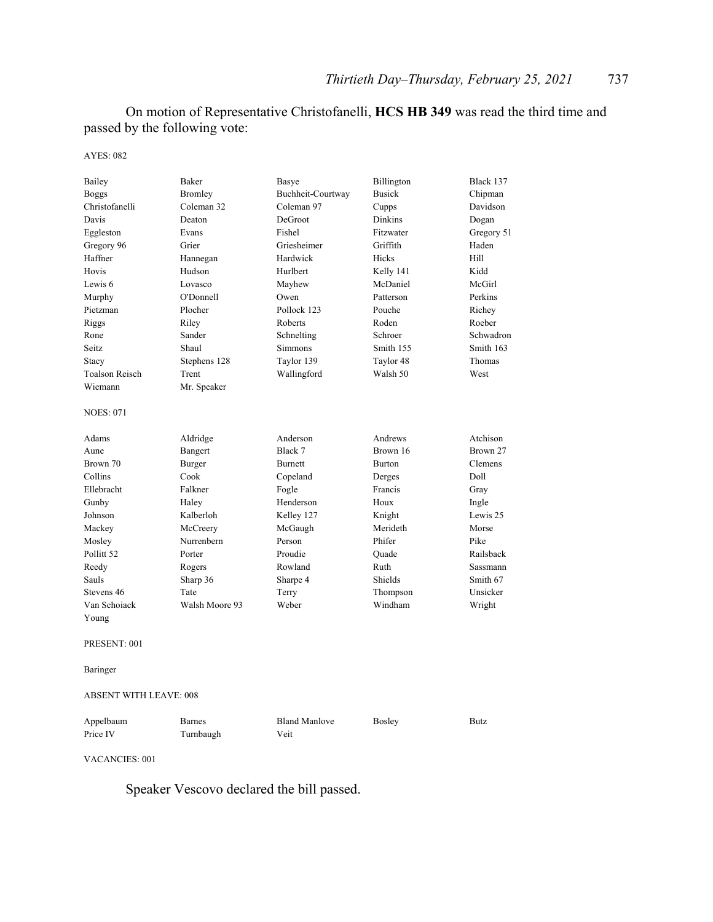On motion of Representative Christofanelli, **HCS HB 349** was read the third time and passed by the following vote:

AYES: 082

| Bailey<br><b>Boggs</b><br>Christofanelli<br>Davis<br>Eggleston | Baker<br>Bromley<br>Coleman 32<br>Deaton<br>Evans | Basye<br>Buchheit-Courtway<br>Coleman 97<br>DeGroot<br>Fishel | Billington<br><b>Busick</b><br>Cupps<br><b>Dinkins</b><br>Fitzwater | Black 137<br>Chipman<br>Davidson<br>Dogan<br>Gregory 51 |
|----------------------------------------------------------------|---------------------------------------------------|---------------------------------------------------------------|---------------------------------------------------------------------|---------------------------------------------------------|
| Gregory 96                                                     | Grier                                             | Griesheimer                                                   | Griffith                                                            | Haden                                                   |
| Haffner                                                        | Hannegan                                          | Hardwick                                                      | Hicks                                                               | Hill                                                    |
| Hovis                                                          | Hudson                                            | Hurlbert                                                      | Kelly 141                                                           | Kidd                                                    |
| Lewis <sub>6</sub>                                             | Lovasco                                           | Mayhew                                                        | McDaniel                                                            | McGirl                                                  |
| Murphy                                                         | O'Donnell                                         | Owen                                                          | Patterson                                                           | Perkins                                                 |
| Pietzman                                                       | Plocher                                           | Pollock 123                                                   | Pouche                                                              | Richey                                                  |
| Riggs                                                          | Riley                                             | Roberts                                                       | Roden                                                               | Roeber                                                  |
| Rone                                                           | Sander                                            | Schnelting                                                    | Schroer                                                             | Schwadron                                               |
| Seitz                                                          | Shaul                                             | <b>Simmons</b>                                                | Smith 155                                                           | Smith 163                                               |
| Stacy                                                          | Stephens 128                                      | Taylor 139                                                    | Taylor 48                                                           | Thomas                                                  |
| <b>Toalson Reisch</b>                                          | Trent                                             | Wallingford                                                   | Walsh 50                                                            | West                                                    |
| Wiemann                                                        | Mr. Speaker                                       |                                                               |                                                                     |                                                         |
| <b>NOES: 071</b>                                               |                                                   |                                                               |                                                                     |                                                         |
| Adams                                                          | Aldridge                                          | Anderson                                                      | Andrews                                                             | Atchison                                                |
| Aune                                                           | Bangert                                           | Black 7                                                       | Brown 16                                                            | Brown 27                                                |
| Brown 70                                                       | Burger                                            | <b>Burnett</b>                                                | <b>Burton</b>                                                       | Clemens                                                 |
| Collins                                                        | Cook                                              | Copeland                                                      | Derges                                                              | Doll                                                    |
| Ellebracht                                                     | Falkner                                           | Fogle                                                         | Francis                                                             | Gray                                                    |
| Gunby                                                          | Haley                                             | Henderson                                                     | Houx                                                                | Ingle                                                   |
| Johnson                                                        | Kalberloh                                         | Kelley 127                                                    | Knight                                                              | Lewis 25                                                |
| Mackey                                                         | McCreery                                          | McGaugh                                                       | Merideth                                                            | Morse                                                   |
| Mosley                                                         | Nurrenbern                                        | Person                                                        | Phifer                                                              | Pike                                                    |
| Pollitt 52                                                     | Porter                                            | Proudie                                                       | Quade                                                               | Railsback                                               |
| Reedy                                                          | Rogers                                            | Rowland                                                       | Ruth                                                                | Sassmann                                                |
| Sauls                                                          | Sharp 36                                          | Sharpe 4                                                      | Shields                                                             | Smith 67                                                |
| Stevens 46                                                     | Tate                                              | Terry                                                         | Thompson                                                            | Unsicker                                                |
| Van Schoiack                                                   | Walsh Moore 93                                    | Weber                                                         | Windham                                                             | Wright                                                  |
| Young                                                          |                                                   |                                                               |                                                                     |                                                         |
| PRESENT: 001                                                   |                                                   |                                                               |                                                                     |                                                         |
| Baringer                                                       |                                                   |                                                               |                                                                     |                                                         |
| <b>ABSENT WITH LEAVE: 008</b>                                  |                                                   |                                                               |                                                                     |                                                         |
| Appelbaum<br>Price IV                                          | Barnes<br>Turnbaugh                               | <b>Bland Manlove</b><br>Veit                                  | <b>Bosley</b>                                                       | <b>Butz</b>                                             |

VACANCIES: 001

Speaker Vescovo declared the bill passed.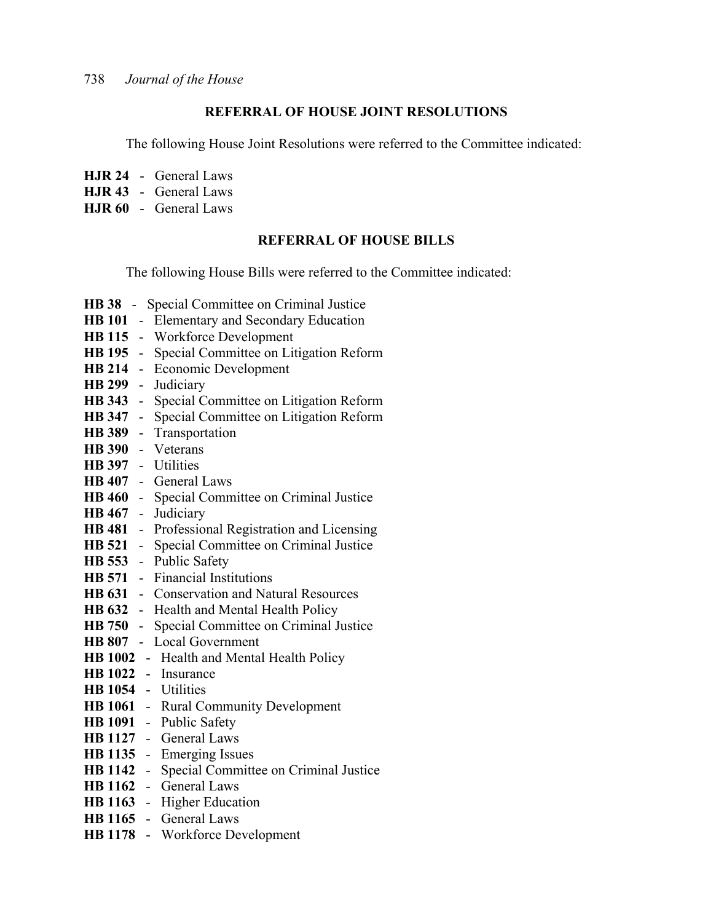#### **REFERRAL OF HOUSE JOINT RESOLUTIONS**

The following House Joint Resolutions were referred to the Committee indicated:

- **HJR 24** General Laws
- **HJR 43** General Laws
- **HJR 60** General Laws

#### **REFERRAL OF HOUSE BILLS**

The following House Bills were referred to the Committee indicated:

**HB 38** - Special Committee on Criminal Justice **HB 101** - Elementary and Secondary Education **HB 115** - Workforce Development **HB 195** - Special Committee on Litigation Reform **HB 214** - Economic Development **HB 299** - Judiciary **HB 343** - Special Committee on Litigation Reform **HB 347** - Special Committee on Litigation Reform **HB 389** - Transportation **HB 390** - Veterans **HB 397** - Utilities **HB 407** - General Laws **HB 460** - Special Committee on Criminal Justice **HB 467** - Judiciary **HB 481** - Professional Registration and Licensing **HB 521** - Special Committee on Criminal Justice **HB 553** - Public Safety **HB 571** - Financial Institutions **HB 631** - Conservation and Natural Resources **HB 632** - Health and Mental Health Policy **HB 750** - Special Committee on Criminal Justice **HB 807** - Local Government **HB 1002** - Health and Mental Health Policy **HB 1022** - Insurance **HB 1054** - Utilities **HB 1061** - Rural Community Development **HB 1091** - Public Safety **HB 1127** - General Laws **HB 1135** - Emerging Issues **HB 1142** - Special Committee on Criminal Justice **HB 1162** - General Laws **HB 1163** - Higher Education **HB 1165** - General Laws **HB 1178** - Workforce Development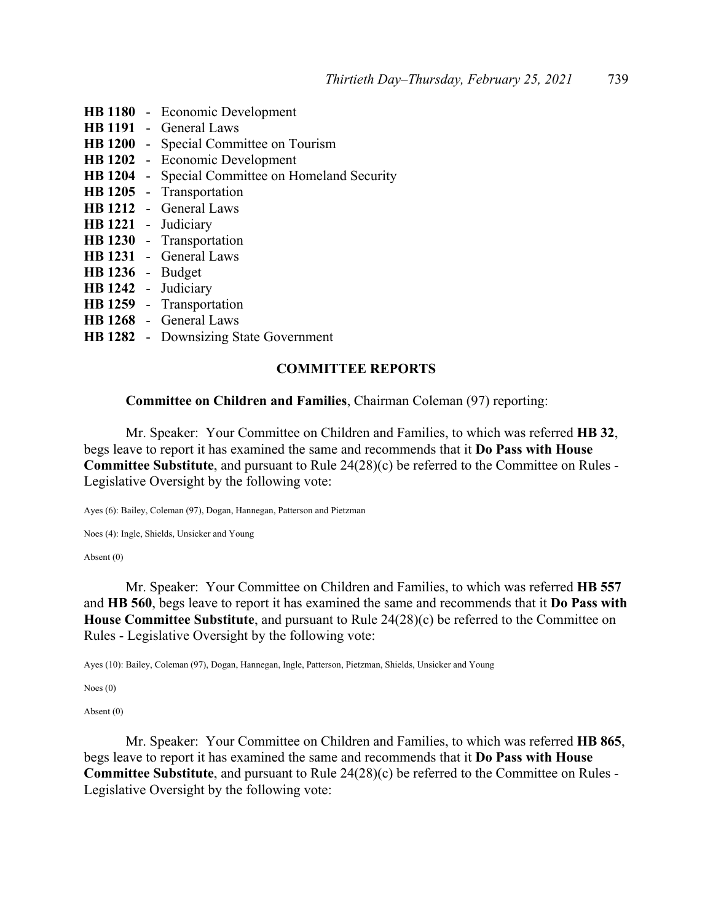**HB 1180** - Economic Development **HB 1191** - General Laws **HB 1200** - Special Committee on Tourism **HB 1202** - Economic Development **HB 1204** - Special Committee on Homeland Security **HB 1205** - Transportation **HB 1212** - General Laws **HB 1221** - Judiciary **HB 1230** - Transportation **HB 1231** - General Laws **HB 1236** - Budget **HB 1242** - Judiciary **HB 1259** - Transportation **HB 1268** - General Laws **HB 1282** - Downsizing State Government

# **COMMITTEE REPORTS**

**Committee on Children and Families**, Chairman Coleman (97) reporting:

 Mr. Speaker: Your Committee on Children and Families, to which was referred **HB 32**, begs leave to report it has examined the same and recommends that it **Do Pass with House Committee Substitute**, and pursuant to Rule 24(28)(c) be referred to the Committee on Rules - Legislative Oversight by the following vote:

Ayes (6): Bailey, Coleman (97), Dogan, Hannegan, Patterson and Pietzman

Noes (4): Ingle, Shields, Unsicker and Young

Absent (0)

 Mr. Speaker: Your Committee on Children and Families, to which was referred **HB 557** and **HB 560**, begs leave to report it has examined the same and recommends that it **Do Pass with House Committee Substitute**, and pursuant to Rule 24(28)(c) be referred to the Committee on Rules - Legislative Oversight by the following vote:

Ayes (10): Bailey, Coleman (97), Dogan, Hannegan, Ingle, Patterson, Pietzman, Shields, Unsicker and Young

Noes (0)

Absent (0)

 Mr. Speaker: Your Committee on Children and Families, to which was referred **HB 865**, begs leave to report it has examined the same and recommends that it **Do Pass with House Committee Substitute**, and pursuant to Rule 24(28)(c) be referred to the Committee on Rules - Legislative Oversight by the following vote: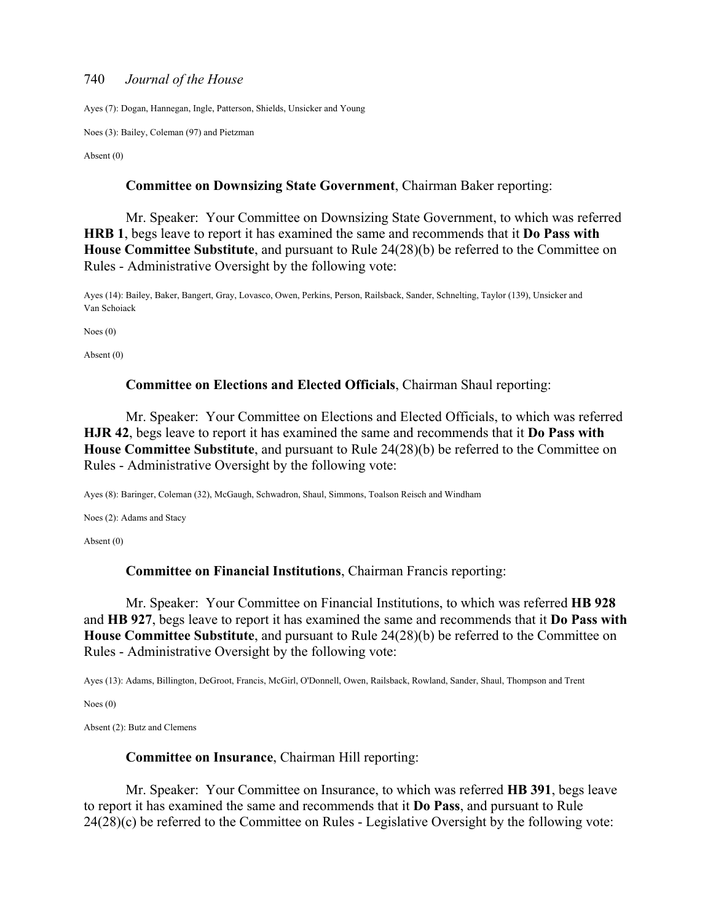Ayes (7): Dogan, Hannegan, Ingle, Patterson, Shields, Unsicker and Young

Noes (3): Bailey, Coleman (97) and Pietzman

Absent (0)

#### **Committee on Downsizing State Government**, Chairman Baker reporting:

 Mr. Speaker: Your Committee on Downsizing State Government, to which was referred **HRB 1**, begs leave to report it has examined the same and recommends that it **Do Pass with House Committee Substitute**, and pursuant to Rule 24(28)(b) be referred to the Committee on Rules - Administrative Oversight by the following vote:

Ayes (14): Bailey, Baker, Bangert, Gray, Lovasco, Owen, Perkins, Person, Railsback, Sander, Schnelting, Taylor (139), Unsicker and Van Schoiack

Noes (0)

Absent (0)

#### **Committee on Elections and Elected Officials**, Chairman Shaul reporting:

 Mr. Speaker: Your Committee on Elections and Elected Officials, to which was referred **HJR 42**, begs leave to report it has examined the same and recommends that it **Do Pass with House Committee Substitute**, and pursuant to Rule 24(28)(b) be referred to the Committee on Rules - Administrative Oversight by the following vote:

Ayes (8): Baringer, Coleman (32), McGaugh, Schwadron, Shaul, Simmons, Toalson Reisch and Windham

Noes (2): Adams and Stacy

Absent (0)

#### **Committee on Financial Institutions**, Chairman Francis reporting:

 Mr. Speaker: Your Committee on Financial Institutions, to which was referred **HB 928** and **HB 927**, begs leave to report it has examined the same and recommends that it **Do Pass with House Committee Substitute**, and pursuant to Rule 24(28)(b) be referred to the Committee on Rules - Administrative Oversight by the following vote:

Ayes (13): Adams, Billington, DeGroot, Francis, McGirl, O'Donnell, Owen, Railsback, Rowland, Sander, Shaul, Thompson and Trent

Noes (0)

Absent (2): Butz and Clemens

#### **Committee on Insurance**, Chairman Hill reporting:

 Mr. Speaker: Your Committee on Insurance, to which was referred **HB 391**, begs leave to report it has examined the same and recommends that it **Do Pass**, and pursuant to Rule 24(28)(c) be referred to the Committee on Rules - Legislative Oversight by the following vote: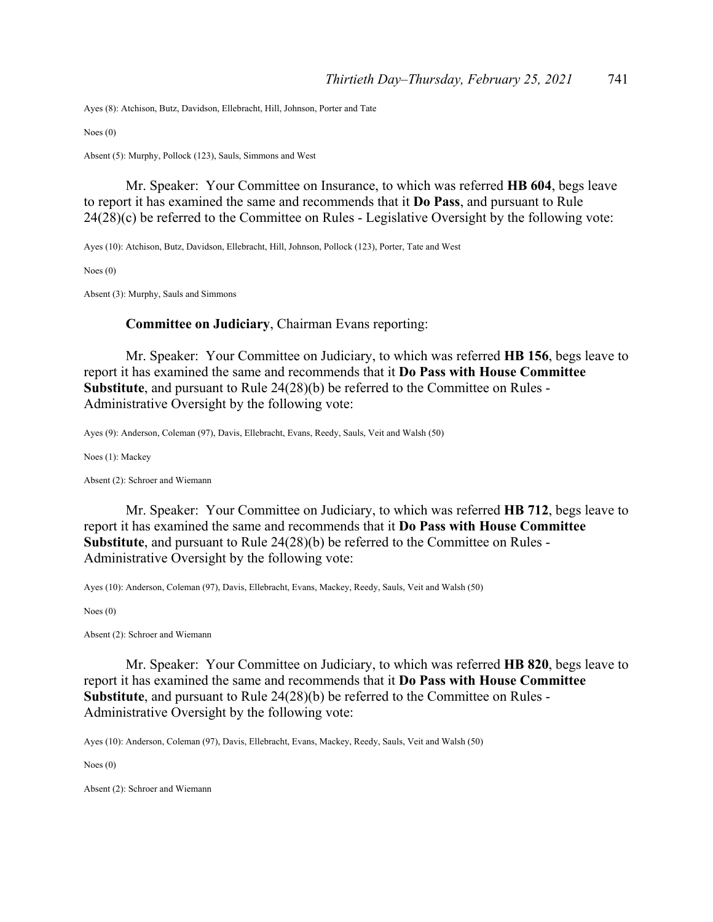Ayes (8): Atchison, Butz, Davidson, Ellebracht, Hill, Johnson, Porter and Tate

Noes (0)

Absent (5): Murphy, Pollock (123), Sauls, Simmons and West

 Mr. Speaker: Your Committee on Insurance, to which was referred **HB 604**, begs leave to report it has examined the same and recommends that it **Do Pass**, and pursuant to Rule 24(28)(c) be referred to the Committee on Rules - Legislative Oversight by the following vote:

Ayes (10): Atchison, Butz, Davidson, Ellebracht, Hill, Johnson, Pollock (123), Porter, Tate and West

Noes (0)

Absent (3): Murphy, Sauls and Simmons

#### **Committee on Judiciary**, Chairman Evans reporting:

 Mr. Speaker: Your Committee on Judiciary, to which was referred **HB 156**, begs leave to report it has examined the same and recommends that it **Do Pass with House Committee Substitute**, and pursuant to Rule 24(28)(b) be referred to the Committee on Rules - Administrative Oversight by the following vote:

Ayes (9): Anderson, Coleman (97), Davis, Ellebracht, Evans, Reedy, Sauls, Veit and Walsh (50)

Noes (1): Mackey

Absent (2): Schroer and Wiemann

 Mr. Speaker: Your Committee on Judiciary, to which was referred **HB 712**, begs leave to report it has examined the same and recommends that it **Do Pass with House Committee Substitute**, and pursuant to Rule 24(28)(b) be referred to the Committee on Rules - Administrative Oversight by the following vote:

Ayes (10): Anderson, Coleman (97), Davis, Ellebracht, Evans, Mackey, Reedy, Sauls, Veit and Walsh (50)

Noes (0)

Absent (2): Schroer and Wiemann

 Mr. Speaker: Your Committee on Judiciary, to which was referred **HB 820**, begs leave to report it has examined the same and recommends that it **Do Pass with House Committee Substitute**, and pursuant to Rule 24(28)(b) be referred to the Committee on Rules - Administrative Oversight by the following vote:

Ayes (10): Anderson, Coleman (97), Davis, Ellebracht, Evans, Mackey, Reedy, Sauls, Veit and Walsh (50)

Noes (0)

Absent (2): Schroer and Wiemann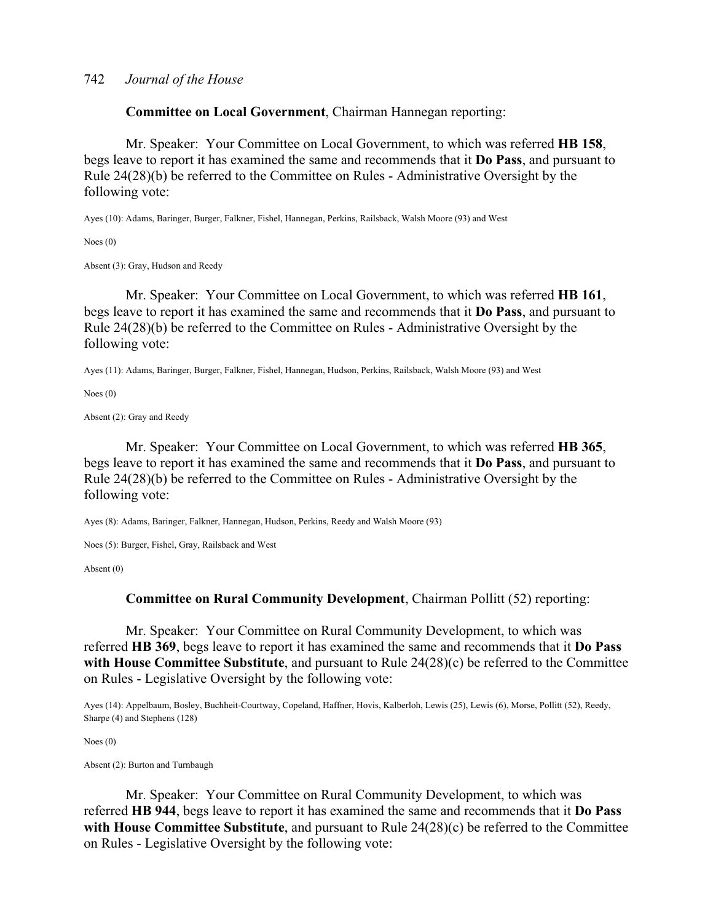**Committee on Local Government**, Chairman Hannegan reporting:

 Mr. Speaker: Your Committee on Local Government, to which was referred **HB 158**, begs leave to report it has examined the same and recommends that it **Do Pass**, and pursuant to Rule 24(28)(b) be referred to the Committee on Rules - Administrative Oversight by the following vote:

Ayes (10): Adams, Baringer, Burger, Falkner, Fishel, Hannegan, Perkins, Railsback, Walsh Moore (93) and West

Noes (0)

Absent (3): Gray, Hudson and Reedy

 Mr. Speaker: Your Committee on Local Government, to which was referred **HB 161**, begs leave to report it has examined the same and recommends that it **Do Pass**, and pursuant to Rule 24(28)(b) be referred to the Committee on Rules - Administrative Oversight by the following vote:

Ayes (11): Adams, Baringer, Burger, Falkner, Fishel, Hannegan, Hudson, Perkins, Railsback, Walsh Moore (93) and West

Noes (0)

Absent (2): Gray and Reedy

 Mr. Speaker: Your Committee on Local Government, to which was referred **HB 365**, begs leave to report it has examined the same and recommends that it **Do Pass**, and pursuant to Rule 24(28)(b) be referred to the Committee on Rules - Administrative Oversight by the following vote:

Ayes (8): Adams, Baringer, Falkner, Hannegan, Hudson, Perkins, Reedy and Walsh Moore (93)

Noes (5): Burger, Fishel, Gray, Railsback and West

Absent (0)

#### **Committee on Rural Community Development**, Chairman Pollitt (52) reporting:

 Mr. Speaker: Your Committee on Rural Community Development, to which was referred **HB 369**, begs leave to report it has examined the same and recommends that it **Do Pass with House Committee Substitute**, and pursuant to Rule 24(28)(c) be referred to the Committee on Rules - Legislative Oversight by the following vote:

Ayes (14): Appelbaum, Bosley, Buchheit-Courtway, Copeland, Haffner, Hovis, Kalberloh, Lewis (25), Lewis (6), Morse, Pollitt (52), Reedy, Sharpe (4) and Stephens (128)

Noes (0)

Absent (2): Burton and Turnbaugh

 Mr. Speaker: Your Committee on Rural Community Development, to which was referred **HB 944**, begs leave to report it has examined the same and recommends that it **Do Pass with House Committee Substitute**, and pursuant to Rule 24(28)(c) be referred to the Committee on Rules - Legislative Oversight by the following vote: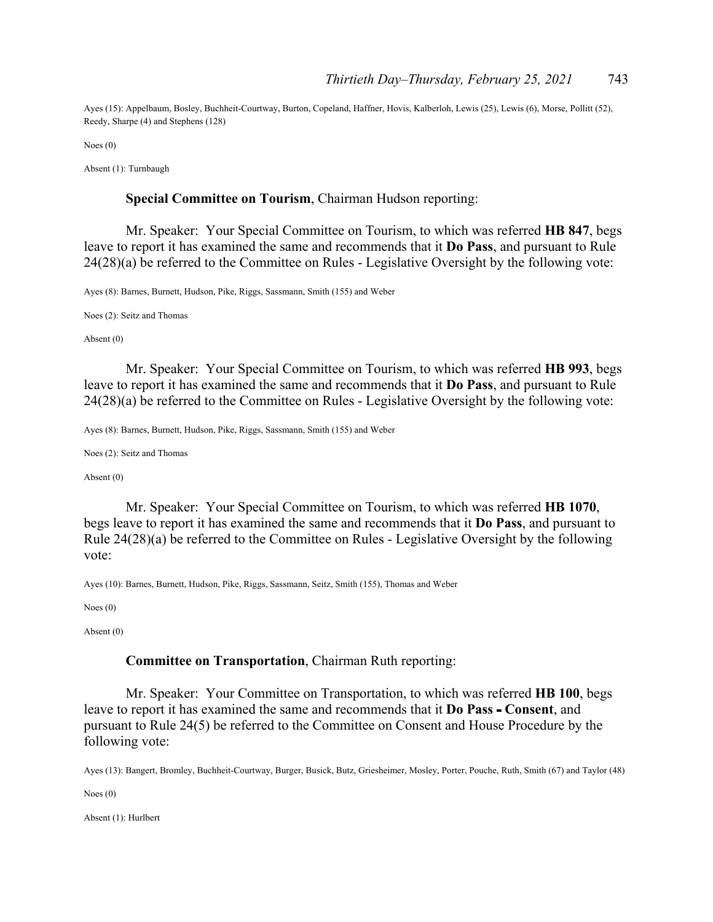Ayes (15): Appelbaum, Bosley, Buchheit-Courtway, Burton, Copeland, Haffner, Hovis, Kalberloh, Lewis (25), Lewis (6), Morse, Pollitt (52), Reedy, Sharpe (4) and Stephens (128)

Noes (0)

Absent (1): Turnbaugh

#### **Special Committee on Tourism**, Chairman Hudson reporting:

 Mr. Speaker: Your Special Committee on Tourism, to which was referred **HB 847**, begs leave to report it has examined the same and recommends that it **Do Pass**, and pursuant to Rule 24(28)(a) be referred to the Committee on Rules - Legislative Oversight by the following vote:

Ayes (8): Barnes, Burnett, Hudson, Pike, Riggs, Sassmann, Smith (155) and Weber

Noes (2): Seitz and Thomas

Absent (0)

 Mr. Speaker: Your Special Committee on Tourism, to which was referred **HB 993**, begs leave to report it has examined the same and recommends that it **Do Pass**, and pursuant to Rule 24(28)(a) be referred to the Committee on Rules - Legislative Oversight by the following vote:

Ayes (8): Barnes, Burnett, Hudson, Pike, Riggs, Sassmann, Smith (155) and Weber

Noes (2): Seitz and Thomas

Absent (0)

 Mr. Speaker: Your Special Committee on Tourism, to which was referred **HB 1070**, begs leave to report it has examined the same and recommends that it **Do Pass**, and pursuant to Rule 24(28)(a) be referred to the Committee on Rules - Legislative Oversight by the following vote:

Ayes (10): Barnes, Burnett, Hudson, Pike, Riggs, Sassmann, Seitz, Smith (155), Thomas and Weber

Noes (0)

Absent (0)

#### **Committee on Transportation**, Chairman Ruth reporting:

 Mr. Speaker: Your Committee on Transportation, to which was referred **HB 100**, begs leave to report it has examined the same and recommends that it **Do Pass - Consent**, and pursuant to Rule 24(5) be referred to the Committee on Consent and House Procedure by the following vote:

Ayes (13): Bangert, Bromley, Buchheit-Courtway, Burger, Busick, Butz, Griesheimer, Mosley, Porter, Pouche, Ruth, Smith (67) and Taylor (48)

Noes (0)

Absent (1): Hurlbert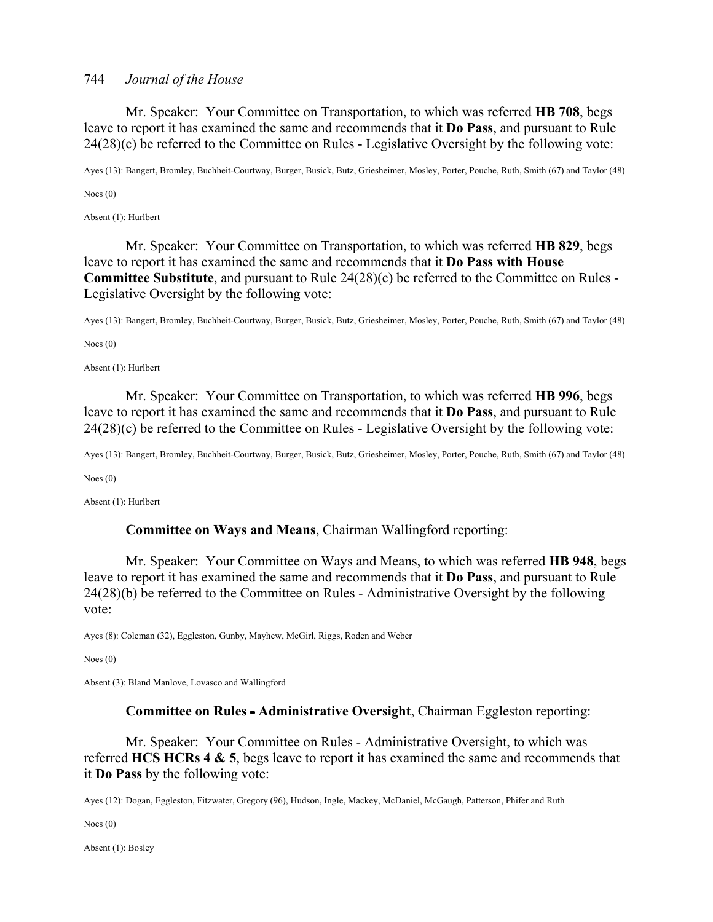Mr. Speaker: Your Committee on Transportation, to which was referred **HB 708**, begs leave to report it has examined the same and recommends that it **Do Pass**, and pursuant to Rule 24(28)(c) be referred to the Committee on Rules - Legislative Oversight by the following vote:

Ayes (13): Bangert, Bromley, Buchheit-Courtway, Burger, Busick, Butz, Griesheimer, Mosley, Porter, Pouche, Ruth, Smith (67) and Taylor (48)

Noes (0)

Absent (1): Hurlbert

 Mr. Speaker: Your Committee on Transportation, to which was referred **HB 829**, begs leave to report it has examined the same and recommends that it **Do Pass with House Committee Substitute**, and pursuant to Rule 24(28)(c) be referred to the Committee on Rules - Legislative Oversight by the following vote:

Ayes (13): Bangert, Bromley, Buchheit-Courtway, Burger, Busick, Butz, Griesheimer, Mosley, Porter, Pouche, Ruth, Smith (67) and Taylor (48)

Noes (0)

Absent (1): Hurlbert

 Mr. Speaker: Your Committee on Transportation, to which was referred **HB 996**, begs leave to report it has examined the same and recommends that it **Do Pass**, and pursuant to Rule 24(28)(c) be referred to the Committee on Rules - Legislative Oversight by the following vote:

Ayes (13): Bangert, Bromley, Buchheit-Courtway, Burger, Busick, Butz, Griesheimer, Mosley, Porter, Pouche, Ruth, Smith (67) and Taylor (48)

Noes (0)

Absent (1): Hurlbert

#### **Committee on Ways and Means**, Chairman Wallingford reporting:

 Mr. Speaker: Your Committee on Ways and Means, to which was referred **HB 948**, begs leave to report it has examined the same and recommends that it **Do Pass**, and pursuant to Rule 24(28)(b) be referred to the Committee on Rules - Administrative Oversight by the following vote:

Ayes (8): Coleman (32), Eggleston, Gunby, Mayhew, McGirl, Riggs, Roden and Weber

Noes (0)

Absent (3): Bland Manlove, Lovasco and Wallingford

#### **Committee on Rules - Administrative Oversight, Chairman Eggleston reporting:**

 Mr. Speaker: Your Committee on Rules - Administrative Oversight, to which was referred **HCS HCRs 4 & 5**, begs leave to report it has examined the same and recommends that it **Do Pass** by the following vote:

Ayes (12): Dogan, Eggleston, Fitzwater, Gregory (96), Hudson, Ingle, Mackey, McDaniel, McGaugh, Patterson, Phifer and Ruth

Noes (0)

Absent (1): Bosley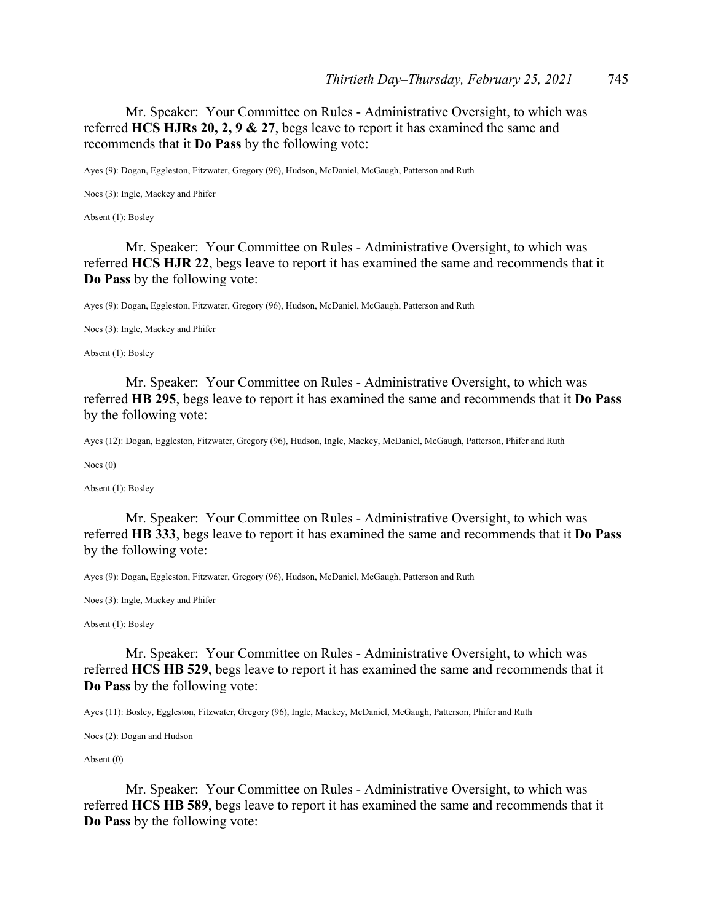Mr. Speaker: Your Committee on Rules - Administrative Oversight, to which was referred **HCS HJRs 20, 2, 9 & 27**, begs leave to report it has examined the same and recommends that it **Do Pass** by the following vote:

Ayes (9): Dogan, Eggleston, Fitzwater, Gregory (96), Hudson, McDaniel, McGaugh, Patterson and Ruth

Noes (3): Ingle, Mackey and Phifer

Absent (1): Bosley

 Mr. Speaker: Your Committee on Rules - Administrative Oversight, to which was referred **HCS HJR 22**, begs leave to report it has examined the same and recommends that it **Do Pass** by the following vote:

Ayes (9): Dogan, Eggleston, Fitzwater, Gregory (96), Hudson, McDaniel, McGaugh, Patterson and Ruth

Noes (3): Ingle, Mackey and Phifer

Absent (1): Bosley

 Mr. Speaker: Your Committee on Rules - Administrative Oversight, to which was referred **HB 295**, begs leave to report it has examined the same and recommends that it **Do Pass** by the following vote:

Ayes (12): Dogan, Eggleston, Fitzwater, Gregory (96), Hudson, Ingle, Mackey, McDaniel, McGaugh, Patterson, Phifer and Ruth

Noes (0)

Absent (1): Bosley

 Mr. Speaker: Your Committee on Rules - Administrative Oversight, to which was referred **HB 333**, begs leave to report it has examined the same and recommends that it **Do Pass** by the following vote:

Ayes (9): Dogan, Eggleston, Fitzwater, Gregory (96), Hudson, McDaniel, McGaugh, Patterson and Ruth

Noes (3): Ingle, Mackey and Phifer

Absent (1): Bosley

 Mr. Speaker: Your Committee on Rules - Administrative Oversight, to which was referred **HCS HB 529**, begs leave to report it has examined the same and recommends that it **Do Pass** by the following vote:

Ayes (11): Bosley, Eggleston, Fitzwater, Gregory (96), Ingle, Mackey, McDaniel, McGaugh, Patterson, Phifer and Ruth

Noes (2): Dogan and Hudson

Absent (0)

 Mr. Speaker: Your Committee on Rules - Administrative Oversight, to which was referred **HCS HB 589**, begs leave to report it has examined the same and recommends that it **Do Pass** by the following vote: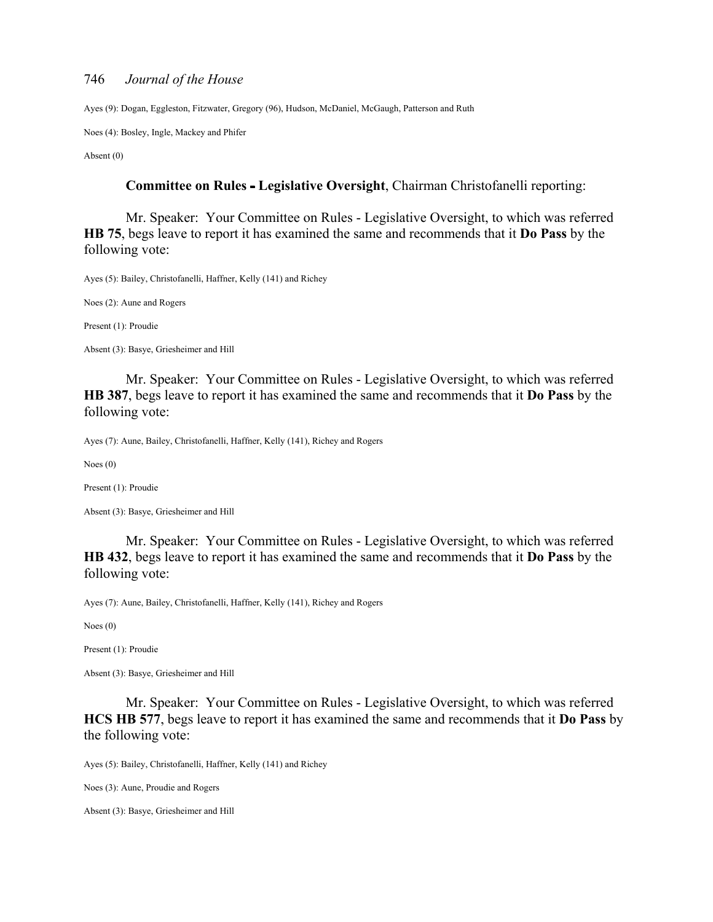Ayes (9): Dogan, Eggleston, Fitzwater, Gregory (96), Hudson, McDaniel, McGaugh, Patterson and Ruth

Noes (4): Bosley, Ingle, Mackey and Phifer

Absent (0)

#### **Committee on Rules Legislative Oversight**, Chairman Christofanelli reporting:

 Mr. Speaker: Your Committee on Rules - Legislative Oversight, to which was referred **HB 75**, begs leave to report it has examined the same and recommends that it **Do Pass** by the following vote:

Ayes (5): Bailey, Christofanelli, Haffner, Kelly (141) and Richey

Noes (2): Aune and Rogers

Present (1): Proudie

Absent (3): Basye, Griesheimer and Hill

 Mr. Speaker: Your Committee on Rules - Legislative Oversight, to which was referred **HB 387**, begs leave to report it has examined the same and recommends that it **Do Pass** by the following vote:

Ayes (7): Aune, Bailey, Christofanelli, Haffner, Kelly (141), Richey and Rogers

Noes (0)

Present (1): Proudie

Absent (3): Basye, Griesheimer and Hill

 Mr. Speaker: Your Committee on Rules - Legislative Oversight, to which was referred **HB 432**, begs leave to report it has examined the same and recommends that it **Do Pass** by the following vote:

Ayes (7): Aune, Bailey, Christofanelli, Haffner, Kelly (141), Richey and Rogers

Noes (0)

Present (1): Proudie

Absent (3): Basye, Griesheimer and Hill

 Mr. Speaker: Your Committee on Rules - Legislative Oversight, to which was referred **HCS HB 577**, begs leave to report it has examined the same and recommends that it **Do Pass** by the following vote:

Ayes (5): Bailey, Christofanelli, Haffner, Kelly (141) and Richey

Noes (3): Aune, Proudie and Rogers

Absent (3): Basye, Griesheimer and Hill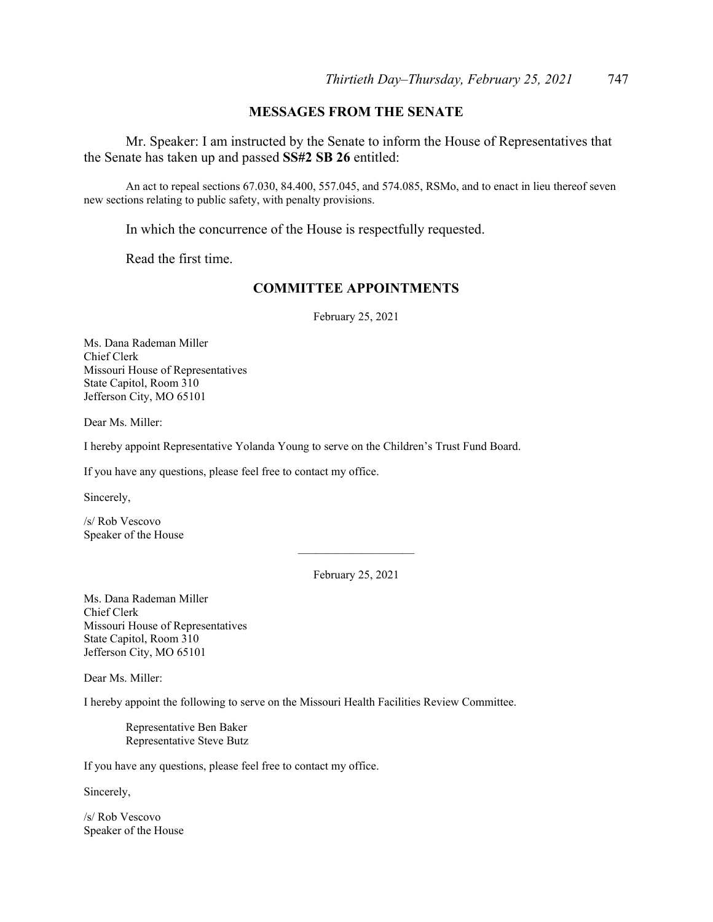#### **MESSAGES FROM THE SENATE**

 Mr. Speaker: I am instructed by the Senate to inform the House of Representatives that the Senate has taken up and passed **SS#2 SB 26** entitled:

 An act to repeal sections 67.030, 84.400, 557.045, and 574.085, RSMo, and to enact in lieu thereof seven new sections relating to public safety, with penalty provisions.

In which the concurrence of the House is respectfully requested.

Read the first time.

## **COMMITTEE APPOINTMENTS**

February 25, 2021

Ms. Dana Rademan Miller Chief Clerk Missouri House of Representatives State Capitol, Room 310 Jefferson City, MO 65101

Dear Ms. Miller:

I hereby appoint Representative Yolanda Young to serve on the Children's Trust Fund Board.

If you have any questions, please feel free to contact my office.

Sincerely,

/s/ Rob Vescovo Speaker of the House

February 25, 2021

 $\overline{\phantom{a}}$  , where  $\overline{\phantom{a}}$ 

Ms. Dana Rademan Miller Chief Clerk Missouri House of Representatives State Capitol, Room 310 Jefferson City, MO 65101

Dear Ms. Miller:

I hereby appoint the following to serve on the Missouri Health Facilities Review Committee.

 Representative Ben Baker Representative Steve Butz

If you have any questions, please feel free to contact my office.

Sincerely,

/s/ Rob Vescovo Speaker of the House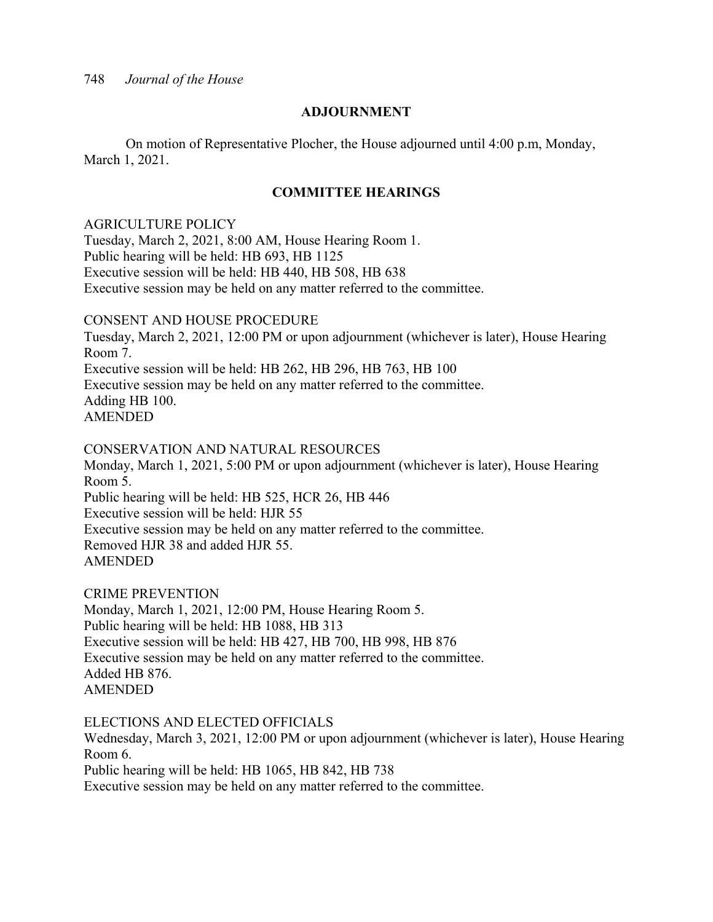# **ADJOURNMENT**

 On motion of Representative Plocher, the House adjourned until 4:00 p.m, Monday, March 1, 2021.

# **COMMITTEE HEARINGS**

# AGRICULTURE POLICY

Tuesday, March 2, 2021, 8:00 AM, House Hearing Room 1. Public hearing will be held: HB 693, HB 1125 Executive session will be held: HB 440, HB 508, HB 638 Executive session may be held on any matter referred to the committee.

# CONSENT AND HOUSE PROCEDURE

Tuesday, March 2, 2021, 12:00 PM or upon adjournment (whichever is later), House Hearing Room 7. Executive session will be held: HB 262, HB 296, HB 763, HB 100 Executive session may be held on any matter referred to the committee. Adding HB 100.

AMENDED

# CONSERVATION AND NATURAL RESOURCES

Monday, March 1, 2021, 5:00 PM or upon adjournment (whichever is later), House Hearing Room 5. Public hearing will be held: HB 525, HCR 26, HB 446 Executive session will be held: HJR 55 Executive session may be held on any matter referred to the committee. Removed HJR 38 and added HJR 55. AMENDED

CRIME PREVENTION

Monday, March 1, 2021, 12:00 PM, House Hearing Room 5. Public hearing will be held: HB 1088, HB 313 Executive session will be held: HB 427, HB 700, HB 998, HB 876 Executive session may be held on any matter referred to the committee. Added HB 876. AMENDED

# ELECTIONS AND ELECTED OFFICIALS

Wednesday, March 3, 2021, 12:00 PM or upon adjournment (whichever is later), House Hearing Room 6. Public hearing will be held: HB 1065, HB 842, HB 738 Executive session may be held on any matter referred to the committee.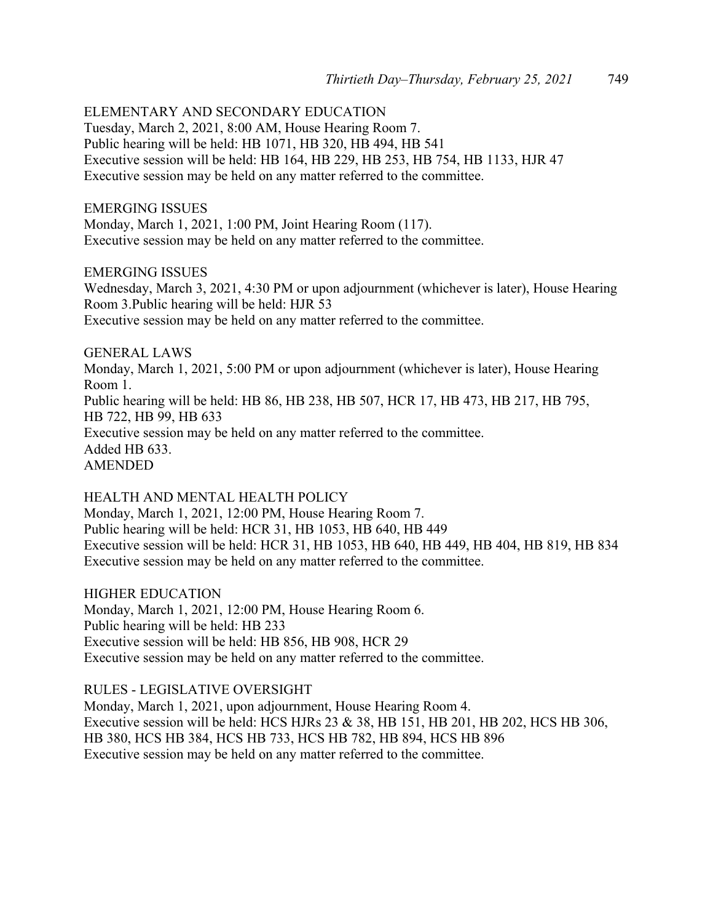ELEMENTARY AND SECONDARY EDUCATION

Tuesday, March 2, 2021, 8:00 AM, House Hearing Room 7. Public hearing will be held: HB 1071, HB 320, HB 494, HB 541 Executive session will be held: HB 164, HB 229, HB 253, HB 754, HB 1133, HJR 47 Executive session may be held on any matter referred to the committee.

EMERGING ISSUES

Monday, March 1, 2021, 1:00 PM, Joint Hearing Room (117). Executive session may be held on any matter referred to the committee.

EMERGING ISSUES

Wednesday, March 3, 2021, 4:30 PM or upon adjournment (whichever is later), House Hearing Room 3.Public hearing will be held: HJR 53 Executive session may be held on any matter referred to the committee.

GENERAL LAWS

Monday, March 1, 2021, 5:00 PM or upon adjournment (whichever is later), House Hearing Room 1. Public hearing will be held: HB 86, HB 238, HB 507, HCR 17, HB 473, HB 217, HB 795, HB 722, HB 99, HB 633 Executive session may be held on any matter referred to the committee. Added HB 633. AMENDED

HEALTH AND MENTAL HEALTH POLICY Monday, March 1, 2021, 12:00 PM, House Hearing Room 7. Public hearing will be held: HCR 31, HB 1053, HB 640, HB 449 Executive session will be held: HCR 31, HB 1053, HB 640, HB 449, HB 404, HB 819, HB 834 Executive session may be held on any matter referred to the committee.

HIGHER EDUCATION

Monday, March 1, 2021, 12:00 PM, House Hearing Room 6. Public hearing will be held: HB 233 Executive session will be held: HB 856, HB 908, HCR 29 Executive session may be held on any matter referred to the committee.

#### RULES - LEGISLATIVE OVERSIGHT

Monday, March 1, 2021, upon adjournment, House Hearing Room 4. Executive session will be held: HCS HJRs 23 & 38, HB 151, HB 201, HB 202, HCS HB 306, HB 380, HCS HB 384, HCS HB 733, HCS HB 782, HB 894, HCS HB 896 Executive session may be held on any matter referred to the committee.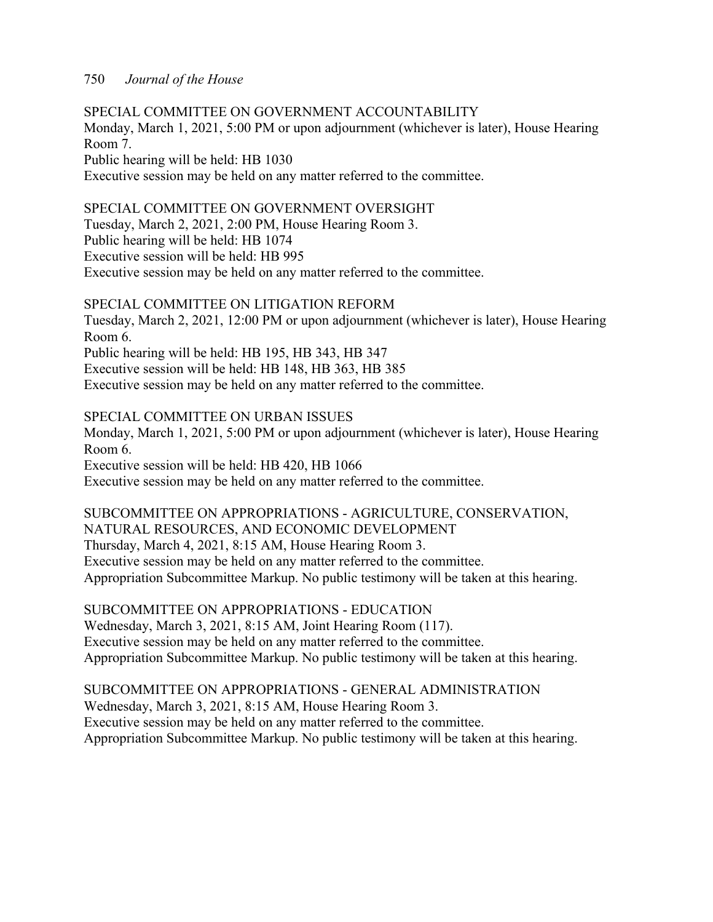SPECIAL COMMITTEE ON GOVERNMENT ACCOUNTABILITY Monday, March 1, 2021, 5:00 PM or upon adjournment (whichever is later), House Hearing Room 7. Public hearing will be held: HB 1030 Executive session may be held on any matter referred to the committee.

# SPECIAL COMMITTEE ON GOVERNMENT OVERSIGHT

Tuesday, March 2, 2021, 2:00 PM, House Hearing Room 3.

Public hearing will be held: HB 1074

Executive session will be held: HB 995

Executive session may be held on any matter referred to the committee.

# SPECIAL COMMITTEE ON LITIGATION REFORM

Tuesday, March 2, 2021, 12:00 PM or upon adjournment (whichever is later), House Hearing Room 6. Public hearing will be held: HB 195, HB 343, HB 347

Executive session will be held: HB 148, HB 363, HB 385

Executive session may be held on any matter referred to the committee.

SPECIAL COMMITTEE ON URBAN ISSUES

Monday, March 1, 2021, 5:00 PM or upon adjournment (whichever is later), House Hearing Room 6.

Executive session will be held: HB 420, HB 1066

Executive session may be held on any matter referred to the committee.

SUBCOMMITTEE ON APPROPRIATIONS - AGRICULTURE, CONSERVATION, NATURAL RESOURCES, AND ECONOMIC DEVELOPMENT Thursday, March 4, 2021, 8:15 AM, House Hearing Room 3. Executive session may be held on any matter referred to the committee. Appropriation Subcommittee Markup. No public testimony will be taken at this hearing.

SUBCOMMITTEE ON APPROPRIATIONS - EDUCATION Wednesday, March 3, 2021, 8:15 AM, Joint Hearing Room (117). Executive session may be held on any matter referred to the committee. Appropriation Subcommittee Markup. No public testimony will be taken at this hearing.

SUBCOMMITTEE ON APPROPRIATIONS - GENERAL ADMINISTRATION Wednesday, March 3, 2021, 8:15 AM, House Hearing Room 3. Executive session may be held on any matter referred to the committee. Appropriation Subcommittee Markup. No public testimony will be taken at this hearing.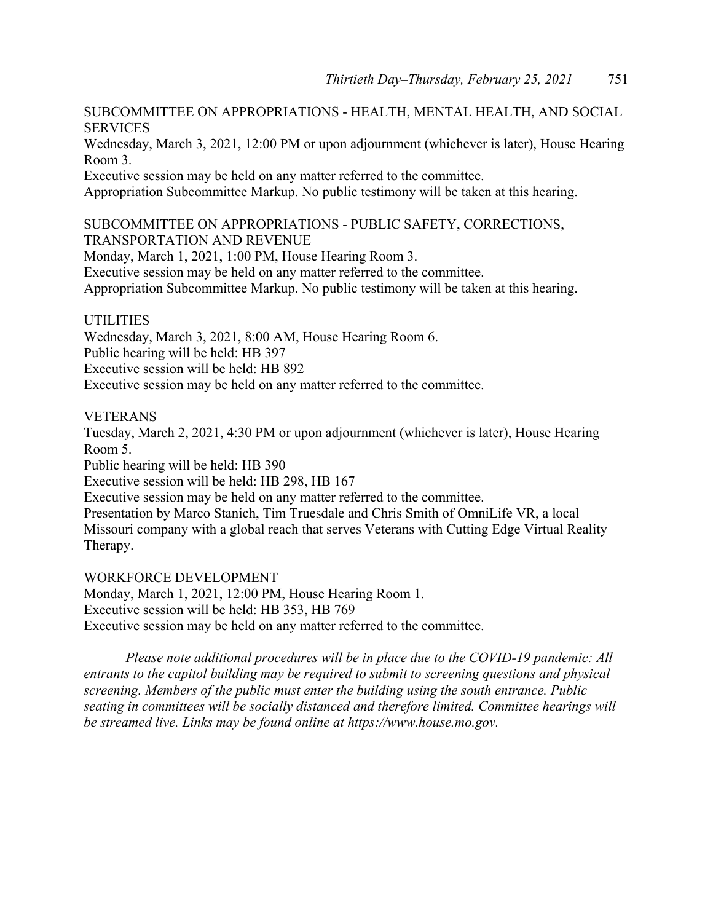# SUBCOMMITTEE ON APPROPRIATIONS - HEALTH, MENTAL HEALTH, AND SOCIAL **SERVICES**

Wednesday, March 3, 2021, 12:00 PM or upon adjournment (whichever is later), House Hearing Room 3.

Executive session may be held on any matter referred to the committee.

Appropriation Subcommittee Markup. No public testimony will be taken at this hearing.

# SUBCOMMITTEE ON APPROPRIATIONS - PUBLIC SAFETY, CORRECTIONS, TRANSPORTATION AND REVENUE

Monday, March 1, 2021, 1:00 PM, House Hearing Room 3.

Executive session may be held on any matter referred to the committee.

Appropriation Subcommittee Markup. No public testimony will be taken at this hearing.

# UTILITIES

Wednesday, March 3, 2021, 8:00 AM, House Hearing Room 6. Public hearing will be held: HB 397 Executive session will be held: HB 892 Executive session may be held on any matter referred to the committee.

# VETERANS

Tuesday, March 2, 2021, 4:30 PM or upon adjournment (whichever is later), House Hearing Room 5.

Public hearing will be held: HB 390

Executive session will be held: HB 298, HB 167

Executive session may be held on any matter referred to the committee.

Presentation by Marco Stanich, Tim Truesdale and Chris Smith of OmniLife VR, a local Missouri company with a global reach that serves Veterans with Cutting Edge Virtual Reality Therapy.

WORKFORCE DEVELOPMENT Monday, March 1, 2021, 12:00 PM, House Hearing Room 1. Executive session will be held: HB 353, HB 769 Executive session may be held on any matter referred to the committee.

*Please note additional procedures will be in place due to the COVID-19 pandemic: All entrants to the capitol building may be required to submit to screening questions and physical screening. Members of the public must enter the building using the south entrance. Public seating in committees will be socially distanced and therefore limited. Committee hearings will be streamed live. Links may be found online at https://www.house.mo.gov.*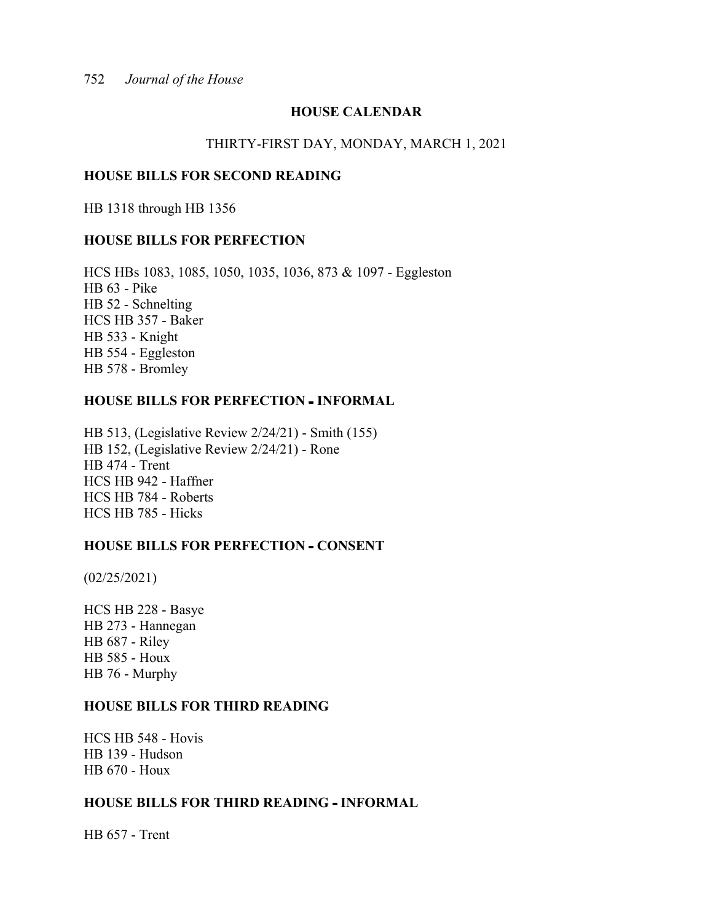# **HOUSE CALENDAR**

#### THIRTY-FIRST DAY, MONDAY, MARCH 1, 2021

#### **HOUSE BILLS FOR SECOND READING**

HB 1318 through HB 1356

## **HOUSE BILLS FOR PERFECTION**

HCS HBs 1083, 1085, 1050, 1035, 1036, 873 & 1097 - Eggleston HB 63 - Pike HB 52 - Schnelting HCS HB 357 - Baker HB 533 - Knight HB 554 - Eggleston HB 578 - Bromley

## **HOUSE BILLS FOR PERFECTION - INFORMAL**

HB 513, (Legislative Review 2/24/21) - Smith (155) HB 152, (Legislative Review 2/24/21) - Rone HB 474 - Trent HCS HB 942 - Haffner HCS HB 784 - Roberts HCS HB 785 - Hicks

# **HOUSE BILLS FOR PERFECTION - CONSENT**

(02/25/2021)

HCS HB 228 - Basye HB 273 - Hannegan HB 687 - Riley HB 585 - Houx HB 76 - Murphy

# **HOUSE BILLS FOR THIRD READING**

HCS HB 548 - Hovis HB 139 - Hudson HB 670 - Houx

## **HOUSE BILLS FOR THIRD READING INFORMAL**

HB 657 - Trent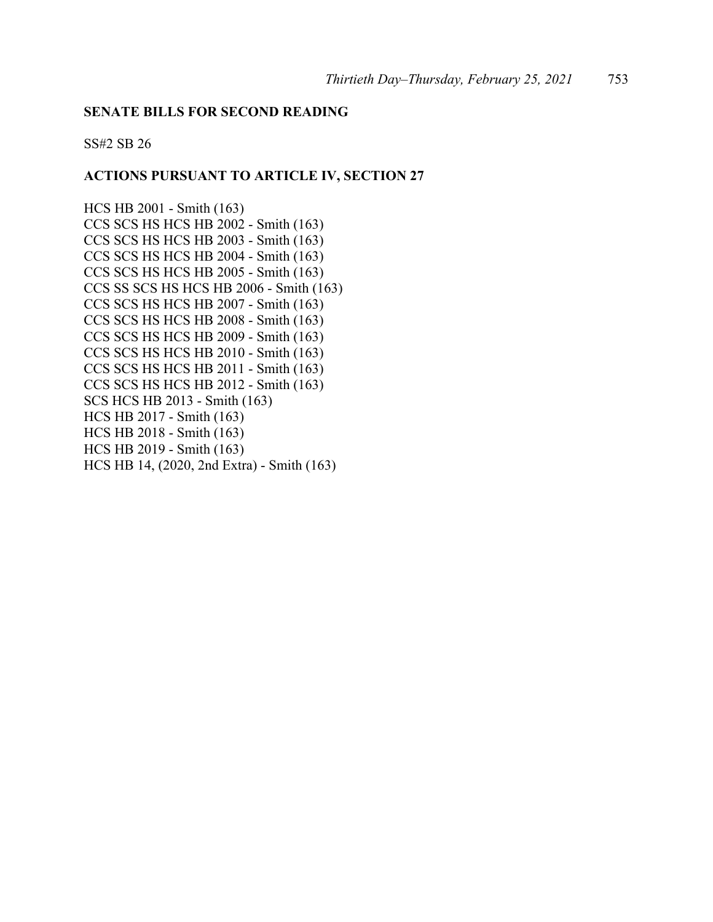#### **SENATE BILLS FOR SECOND READING**

SS#2 SB 26

# **ACTIONS PURSUANT TO ARTICLE IV, SECTION 27**

HCS HB 2001 - Smith (163) CCS SCS HS HCS HB 2002 - Smith (163) CCS SCS HS HCS HB 2003 - Smith (163) CCS SCS HS HCS HB 2004 - Smith (163) CCS SCS HS HCS HB 2005 - Smith (163) CCS SS SCS HS HCS HB 2006 - Smith (163) CCS SCS HS HCS HB 2007 - Smith (163) CCS SCS HS HCS HB 2008 - Smith (163) CCS SCS HS HCS HB 2009 - Smith (163) CCS SCS HS HCS HB 2010 - Smith (163) CCS SCS HS HCS HB 2011 - Smith (163) CCS SCS HS HCS HB 2012 - Smith (163) SCS HCS HB 2013 - Smith (163) HCS HB 2017 - Smith (163) HCS HB 2018 - Smith (163) HCS HB 2019 - Smith (163) HCS HB 14, (2020, 2nd Extra) - Smith (163)